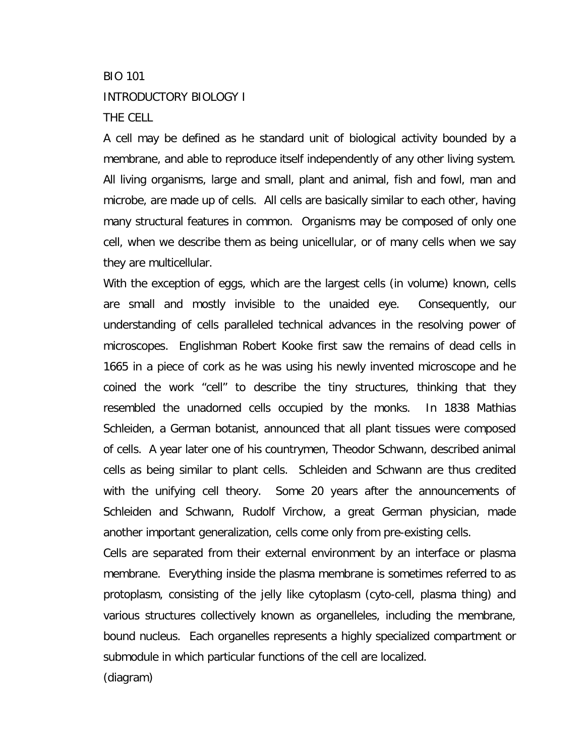# BIO 101 INTRODUCTORY BIOLOGY I THE CELL

A cell may be defined as he standard unit of biological activity bounded by a membrane, and able to reproduce itself independently of any other living system. All living organisms, large and small, plant and animal, fish and fowl, man and microbe, are made up of cells. All cells are basically similar to each other, having many structural features in common. Organisms may be composed of only one cell, when we describe them as being unicellular, or of many cells when we say they are multicellular.

With the exception of eggs, which are the largest cells (in volume) known, cells are small and mostly invisible to the unaided eye. Consequently, our understanding of cells paralleled technical advances in the resolving power of microscopes. Englishman Robert Kooke first saw the remains of dead cells in 1665 in a piece of cork as he was using his newly invented microscope and he coined the work "cell" to describe the tiny structures, thinking that they resembled the unadorned cells occupied by the monks. In 1838 Mathias Schleiden, a German botanist, announced that all plant tissues were composed of cells. A year later one of his countrymen, Theodor Schwann, described animal cells as being similar to plant cells. Schleiden and Schwann are thus credited with the unifying cell theory. Some 20 years after the announcements of Schleiden and Schwann, Rudolf Virchow, a great German physician, made another important generalization, cells come only from pre-existing cells.

Cells are separated from their external environment by an interface or plasma membrane. Everything inside the plasma membrane is sometimes referred to as protoplasm, consisting of the jelly like cytoplasm (cyto-cell, plasma thing) and various structures collectively known as organelleles, including the membrane, bound nucleus. Each organelles represents a highly specialized compartment or submodule in which particular functions of the cell are localized.

(diagram)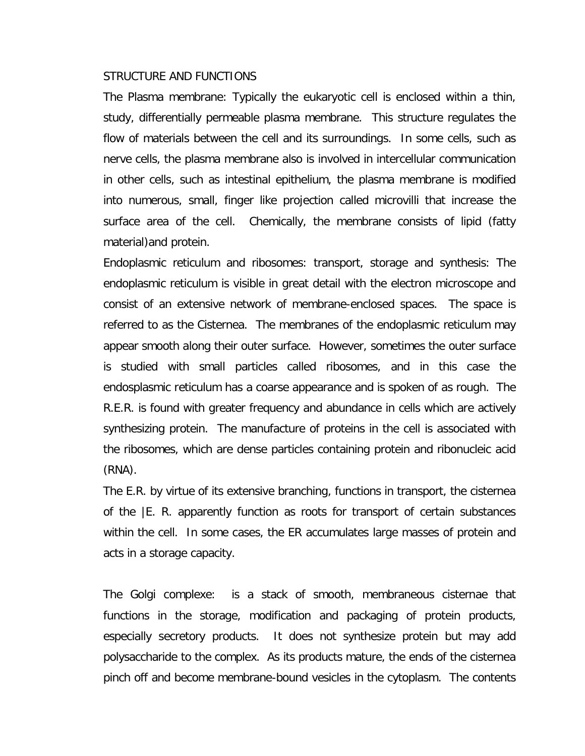#### STRUCTURE AND FUNCTIONS

The Plasma membrane: Typically the eukaryotic cell is enclosed within a thin, study, differentially permeable plasma membrane. This structure regulates the flow of materials between the cell and its surroundings. In some cells, such as nerve cells, the plasma membrane also is involved in intercellular communication in other cells, such as intestinal epithelium, the plasma membrane is modified into numerous, small, finger like projection called microvilli that increase the surface area of the cell. Chemically, the membrane consists of lipid (fatty material)and protein.

Endoplasmic reticulum and ribosomes: transport, storage and synthesis: The endoplasmic reticulum is visible in great detail with the electron microscope and consist of an extensive network of membrane-enclosed spaces. The space is referred to as the Cisternea. The membranes of the endoplasmic reticulum may appear smooth along their outer surface. However, sometimes the outer surface is studied with small particles called ribosomes, and in this case the endosplasmic reticulum has a coarse appearance and is spoken of as rough. The R.E.R. is found with greater frequency and abundance in cells which are actively synthesizing protein. The manufacture of proteins in the cell is associated with the ribosomes, which are dense particles containing protein and ribonucleic acid (RNA).

The E.R. by virtue of its extensive branching, functions in transport, the cisternea of the |E. R. apparently function as roots for transport of certain substances within the cell. In some cases, the ER accumulates large masses of protein and acts in a storage capacity.

The Golgi complexe: is a stack of smooth, membraneous cisternae that functions in the storage, modification and packaging of protein products, especially secretory products. It does not synthesize protein but may add polysaccharide to the complex. As its products mature, the ends of the cisternea pinch off and become membrane-bound vesicles in the cytoplasm. The contents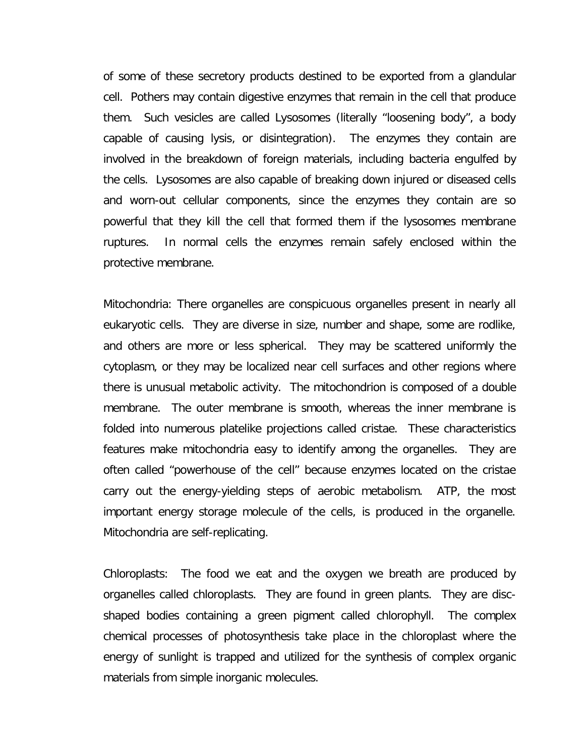of some of these secretory products destined to be exported from a glandular cell. Pothers may contain digestive enzymes that remain in the cell that produce them. Such vesicles are called Lysosomes (literally "loosening body", a body capable of causing lysis, or disintegration). The enzymes they contain are involved in the breakdown of foreign materials, including bacteria engulfed by the cells. Lysosomes are also capable of breaking down injured or diseased cells and worn-out cellular components, since the enzymes they contain are so powerful that they kill the cell that formed them if the lysosomes membrane ruptures. In normal cells the enzymes remain safely enclosed within the protective membrane.

Mitochondria: There organelles are conspicuous organelles present in nearly all eukaryotic cells. They are diverse in size, number and shape, some are rodlike, and others are more or less spherical. They may be scattered uniformly the cytoplasm, or they may be localized near cell surfaces and other regions where there is unusual metabolic activity. The mitochondrion is composed of a double membrane. The outer membrane is smooth, whereas the inner membrane is folded into numerous platelike projections called cristae. These characteristics features make mitochondria easy to identify among the organelles. They are often called "powerhouse of the cell" because enzymes located on the cristae carry out the energy-yielding steps of aerobic metabolism. ATP, the most important energy storage molecule of the cells, is produced in the organelle. Mitochondria are self-replicating.

Chloroplasts: The food we eat and the oxygen we breath are produced by organelles called chloroplasts. They are found in green plants. They are discshaped bodies containing a green pigment called chlorophyll. The complex chemical processes of photosynthesis take place in the chloroplast where the energy of sunlight is trapped and utilized for the synthesis of complex organic materials from simple inorganic molecules.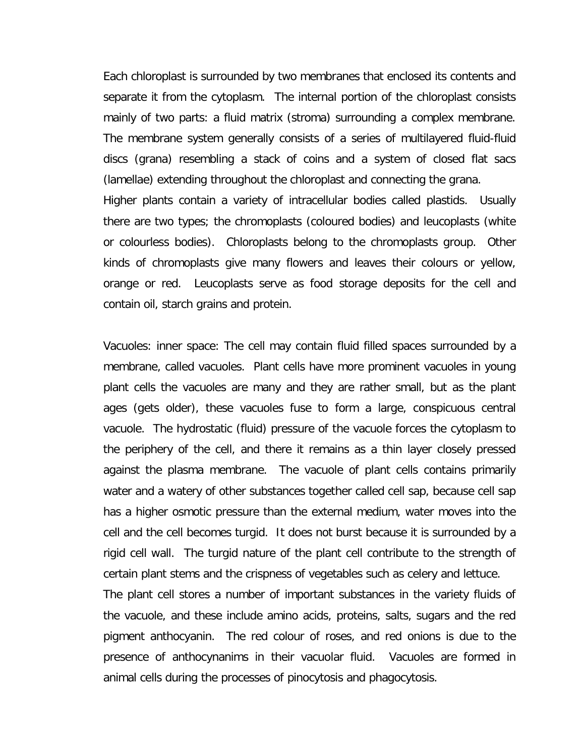Each chloroplast is surrounded by two membranes that enclosed its contents and separate it from the cytoplasm. The internal portion of the chloroplast consists mainly of two parts: a fluid matrix (stroma) surrounding a complex membrane. The membrane system generally consists of a series of multilayered fluid-fluid discs (grana) resembling a stack of coins and a system of closed flat sacs (lamellae) extending throughout the chloroplast and connecting the grana. Higher plants contain a variety of intracellular bodies called plastids. Usually there are two types; the chromoplasts (coloured bodies) and leucoplasts (white or colourless bodies). Chloroplasts belong to the chromoplasts group. Other kinds of chromoplasts give many flowers and leaves their colours or yellow, orange or red. Leucoplasts serve as food storage deposits for the cell and

contain oil, starch grains and protein.

Vacuoles: inner space: The cell may contain fluid filled spaces surrounded by a membrane, called vacuoles. Plant cells have more prominent vacuoles in young plant cells the vacuoles are many and they are rather small, but as the plant ages (gets older), these vacuoles fuse to form a large, conspicuous central vacuole. The hydrostatic (fluid) pressure of the vacuole forces the cytoplasm to the periphery of the cell, and there it remains as a thin layer closely pressed against the plasma membrane. The vacuole of plant cells contains primarily water and a watery of other substances together called cell sap, because cell sap has a higher osmotic pressure than the external medium, water moves into the cell and the cell becomes turgid. It does not burst because it is surrounded by a rigid cell wall. The turgid nature of the plant cell contribute to the strength of certain plant stems and the crispness of vegetables such as celery and lettuce.

The plant cell stores a number of important substances in the variety fluids of the vacuole, and these include amino acids, proteins, salts, sugars and the red pigment anthocyanin. The red colour of roses, and red onions is due to the presence of anthocynanims in their vacuolar fluid. Vacuoles are formed in animal cells during the processes of pinocytosis and phagocytosis.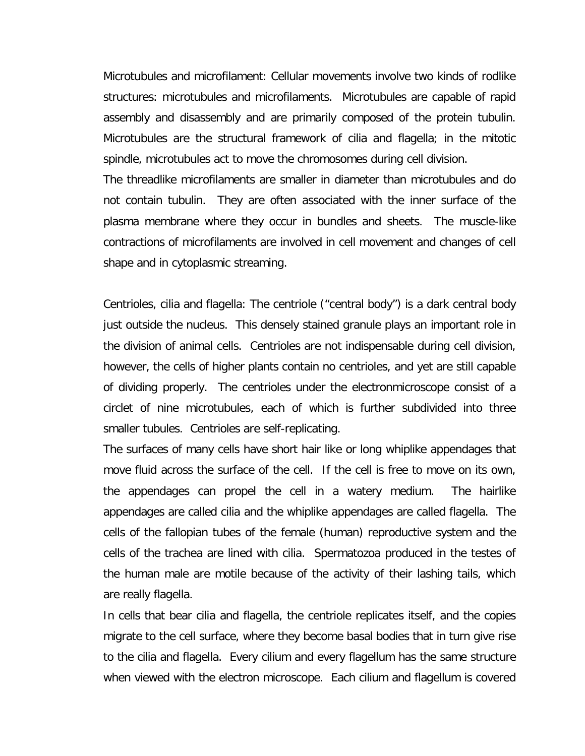Microtubules and microfilament: Cellular movements involve two kinds of rodlike structures: microtubules and microfilaments. Microtubules are capable of rapid assembly and disassembly and are primarily composed of the protein tubulin. Microtubules are the structural framework of cilia and flagella; in the mitotic spindle, microtubules act to move the chromosomes during cell division.

The threadlike microfilaments are smaller in diameter than microtubules and do not contain tubulin. They are often associated with the inner surface of the plasma membrane where they occur in bundles and sheets. The muscle-like contractions of microfilaments are involved in cell movement and changes of cell shape and in cytoplasmic streaming.

Centrioles, cilia and flagella: The centriole ("central body") is a dark central body just outside the nucleus. This densely stained granule plays an important role in the division of animal cells. Centrioles are not indispensable during cell division, however, the cells of higher plants contain no centrioles, and yet are still capable of dividing properly. The centrioles under the electronmicroscope consist of a circlet of nine microtubules, each of which is further subdivided into three smaller tubules. Centrioles are self-replicating.

The surfaces of many cells have short hair like or long whiplike appendages that move fluid across the surface of the cell. If the cell is free to move on its own, the appendages can propel the cell in a watery medium. The hairlike appendages are called cilia and the whiplike appendages are called flagella. The cells of the fallopian tubes of the female (human) reproductive system and the cells of the trachea are lined with cilia. Spermatozoa produced in the testes of the human male are motile because of the activity of their lashing tails, which are really flagella.

In cells that bear cilia and flagella, the centriole replicates itself, and the copies migrate to the cell surface, where they become basal bodies that in turn give rise to the cilia and flagella. Every cilium and every flagellum has the same structure when viewed with the electron microscope. Each cilium and flagellum is covered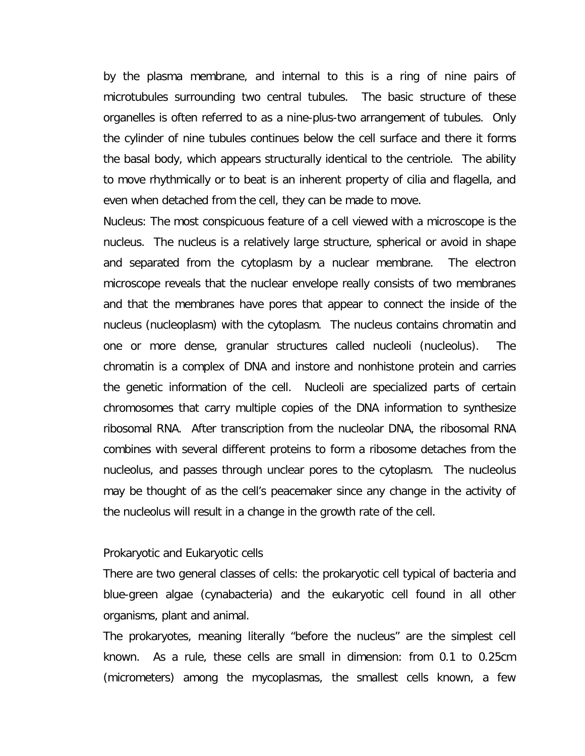by the plasma membrane, and internal to this is a ring of nine pairs of microtubules surrounding two central tubules. The basic structure of these organelles is often referred to as a nine-plus-two arrangement of tubules. Only the cylinder of nine tubules continues below the cell surface and there it forms the basal body, which appears structurally identical to the centriole. The ability to move rhythmically or to beat is an inherent property of cilia and flagella, and even when detached from the cell, they can be made to move.

Nucleus: The most conspicuous feature of a cell viewed with a microscope is the nucleus. The nucleus is a relatively large structure, spherical or avoid in shape and separated from the cytoplasm by a nuclear membrane. The electron microscope reveals that the nuclear envelope really consists of two membranes and that the membranes have pores that appear to connect the inside of the nucleus (nucleoplasm) with the cytoplasm. The nucleus contains chromatin and one or more dense, granular structures called nucleoli (nucleolus). The chromatin is a complex of DNA and instore and nonhistone protein and carries the genetic information of the cell. Nucleoli are specialized parts of certain chromosomes that carry multiple copies of the DNA information to synthesize ribosomal RNA. After transcription from the nucleolar DNA, the ribosomal RNA combines with several different proteins to form a ribosome detaches from the nucleolus, and passes through unclear pores to the cytoplasm. The nucleolus may be thought of as the cell's peacemaker since any change in the activity of the nucleolus will result in a change in the growth rate of the cell.

#### Prokaryotic and Eukaryotic cells

There are two general classes of cells: the prokaryotic cell typical of bacteria and blue-green algae (cynabacteria) and the eukaryotic cell found in all other organisms, plant and animal.

The prokaryotes, meaning literally "before the nucleus" are the simplest cell known. As a rule, these cells are small in dimension: from 0.1 to 0.25cm (micrometers) among the mycoplasmas, the smallest cells known, a few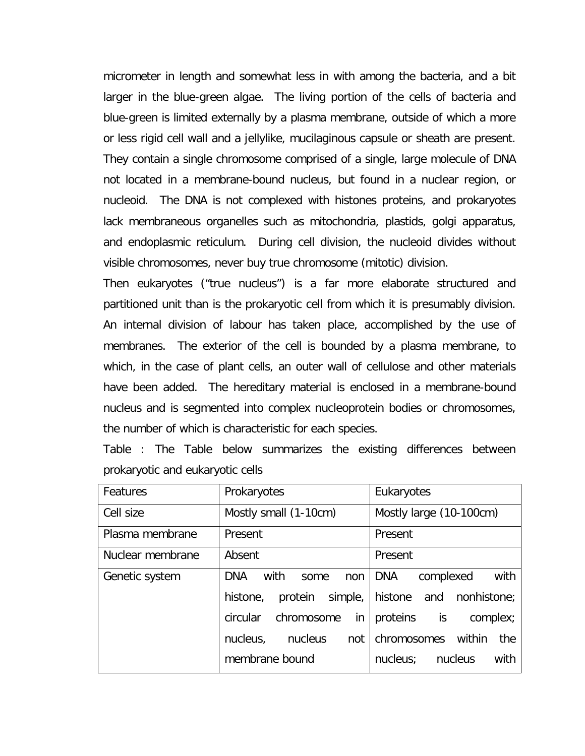micrometer in length and somewhat less in with among the bacteria, and a bit larger in the blue-green algae. The living portion of the cells of bacteria and blue-green is limited externally by a plasma membrane, outside of which a more or less rigid cell wall and a jellylike, mucilaginous capsule or sheath are present. They contain a single chromosome comprised of a single, large molecule of DNA not located in a membrane-bound nucleus, but found in a nuclear region, or nucleoid. The DNA is not complexed with histones proteins, and prokaryotes lack membraneous organelles such as mitochondria, plastids, golgi apparatus, and endoplasmic reticulum. During cell division, the nucleoid divides without visible chromosomes, never buy true chromosome (mitotic) division.

Then eukaryotes ("true nucleus") is a far more elaborate structured and partitioned unit than is the prokaryotic cell from which it is presumably division. An internal division of labour has taken place, accomplished by the use of membranes. The exterior of the cell is bounded by a plasma membrane, to which, in the case of plant cells, an outer wall of cellulose and other materials have been added. The hereditary material is enclosed in a membrane-bound nucleus and is segmented into complex nucleoprotein bodies or chromosomes, the number of which is characteristic for each species.

Table : The Table below summarizes the existing differences between prokaryotic and eukaryotic cells

| Features         | Prokaryotes                       | Eukaryotes                              |  |
|------------------|-----------------------------------|-----------------------------------------|--|
| Cell size        | Mostly small (1-10cm)             | Mostly large (10-100cm)                 |  |
| Plasma membrane  | Present                           | Present                                 |  |
| Nuclear membrane | Absent                            | Present                                 |  |
| Genetic system   | <b>DNA</b><br>with<br>some<br>non | DNA<br>with<br>complexed                |  |
|                  | histone,                          | protein simple, histone and nonhistone; |  |
|                  | circular<br>chromosome<br>in      | proteins is<br>complex;                 |  |
|                  | nucleus,<br>nucleus<br>not        | chromosomes within<br>the               |  |
|                  | membrane bound                    | nucleus; nucleus<br>with                |  |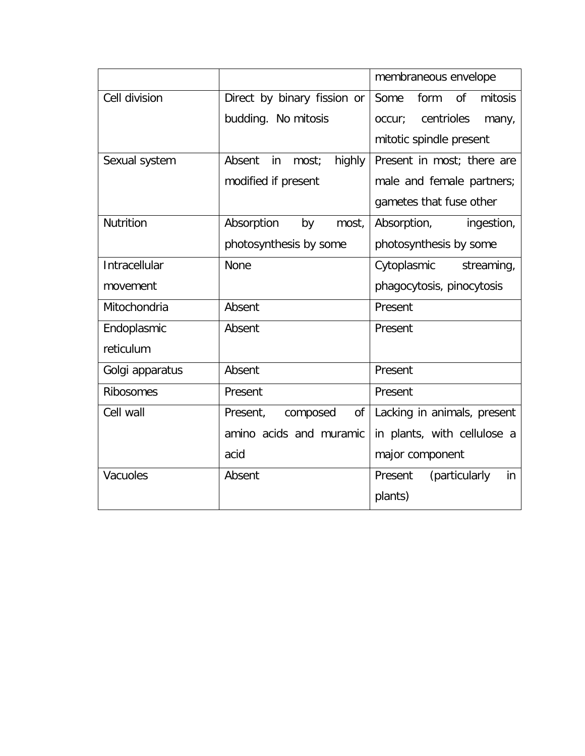|                  |                                 | membraneous envelope                     |
|------------------|---------------------------------|------------------------------------------|
| Cell division    | Direct by binary fission or     | Some<br><sub>of</sub><br>mitosis<br>form |
|                  | budding. No mitosis             | centrioles<br>occur;<br>many,            |
|                  |                                 | mitotic spindle present                  |
| Sexual system    | Absent<br>highly<br>in<br>most; | Present in most; there are               |
|                  | modified if present             | male and female partners;                |
|                  |                                 | gametes that fuse other                  |
| <b>Nutrition</b> | Absorption<br>by<br>most,       | Absorption,<br>ingestion,                |
|                  | photosynthesis by some          | photosynthesis by some                   |
| Intracellular    | <b>None</b>                     | Cytoplasmic<br>streaming,                |
| movement         |                                 | phagocytosis, pinocytosis                |
| Mitochondria     | Absent                          | Present                                  |
| Endoplasmic      | Absent                          | Present                                  |
| reticulum        |                                 |                                          |
| Golgi apparatus  | Absent                          | Present                                  |
| <b>Ribosomes</b> | Present                         | Present                                  |
| Cell wall        | Present,<br>composed<br>οf      | Lacking in animals, present              |
|                  | amino acids and muramic         | in plants, with cellulose a              |
|                  | acid                            | major component                          |
| Vacuoles         | Absent                          | Present<br>(particularly<br>in           |
|                  |                                 | plants)                                  |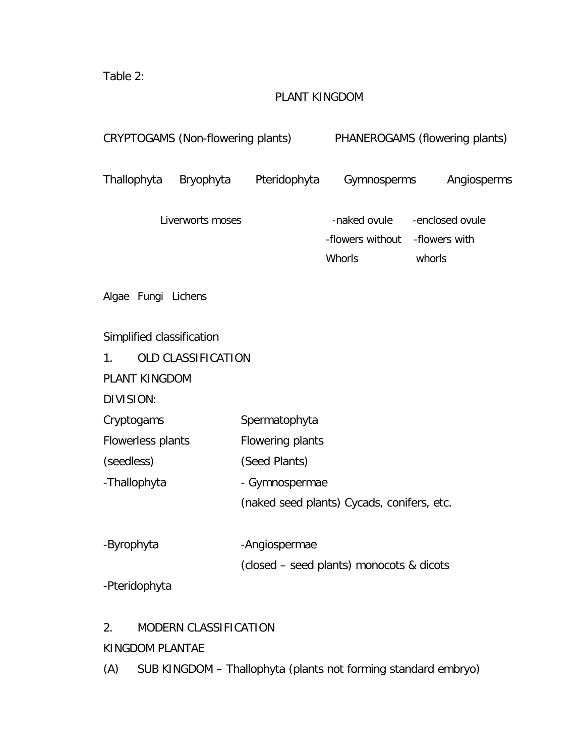Table 2:

# PLANT KINGDOM

| CRYPTOGAMS (Non-flowering plants)                                                                                                          |                    |                                                                      |                                            | PHANEROGAMS (flowering plants)             |
|--------------------------------------------------------------------------------------------------------------------------------------------|--------------------|----------------------------------------------------------------------|--------------------------------------------|--------------------------------------------|
| Thallophyta                                                                                                                                | Bryophyta          | Pteridophyta                                                         | Gymnosperms                                | Angiosperms                                |
|                                                                                                                                            | Liverworts moses   |                                                                      | -naked ovule<br>-flowers without<br>Whorls | -enclosed ovule<br>-flowers with<br>whorls |
| Algae Fungi Lichens                                                                                                                        |                    |                                                                      |                                            |                                            |
| Simplified classification<br>1 <sub>1</sub><br>PLANT KINGDOM<br>DIVISION:<br>Cryptogams<br>Flowerless plants<br>(seedless)<br>-Thallophyta | OLD CLASSIFICATION | Spermatophyta<br>Flowering plants<br>(Seed Plants)<br>- Gymnospermae | (naked seed plants) Cycads, conifers, etc. |                                            |
| -Byrophyta                                                                                                                                 |                    | -Angiospermae                                                        |                                            |                                            |
| -Pteridophyta                                                                                                                              |                    |                                                                      | (closed - seed plants) monocots & dicots   |                                            |

# 2. MODERN CLASSIFICATION

# KINGDOM PLANTAE

(A) SUB KINGDOM – Thallophyta (plants not forming standard embryo)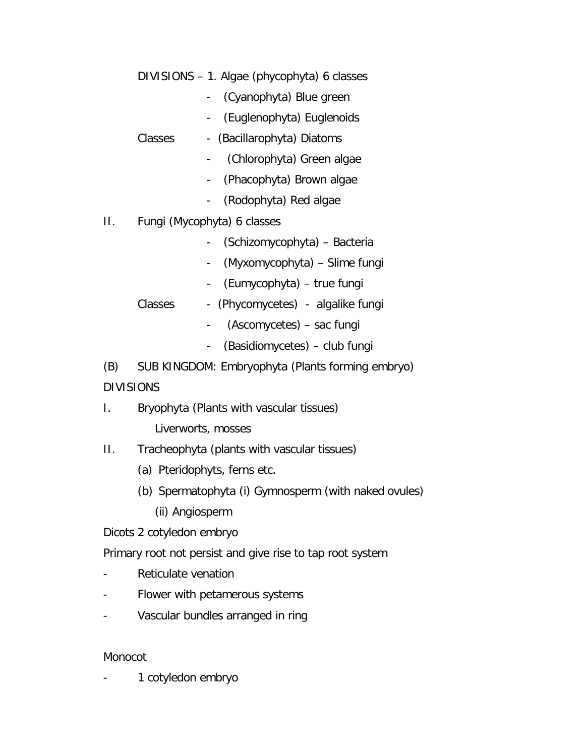DIVISIONS – 1. Algae (phycophyta) 6 classes

- (Cyanophyta) Blue green
- (Euglenophyta) Euglenoids
- Classes (Bacillarophyta) Diatoms
	- (Chlorophyta) Green algae
	- (Phacophyta) Brown algae
	- (Rodophyta) Red algae
- II. Fungi (Mycophyta) 6 classes
	- (Schizomycophyta) Bacteria
	- (Myxomycophyta) Slime fungi
	- (Eumycophyta) true fungi
	- Classes (Phycomycetes) algalike fungi
		- (Ascomycetes) sac fungi
		- (Basidiomycetes) club fungi

(B) SUB KINGDOM: Embryophyta (Plants forming embryo) DIVISIONS

I. Bryophyta (Plants with vascular tissues)

Liverworts, mosses

- II. Tracheophyta (plants with vascular tissues)
	- (a) Pteridophyts, ferns etc.
	- (b) Spermatophyta (i) Gymnosperm (with naked ovules)
		- (ii) Angiosperm

Dicots 2 cotyledon embryo

Primary root not persist and give rise to tap root system

- Reticulate venation
- Flower with petamerous systems
- Vascular bundles arranged in ring

# Monocot

1 cotyledon embryo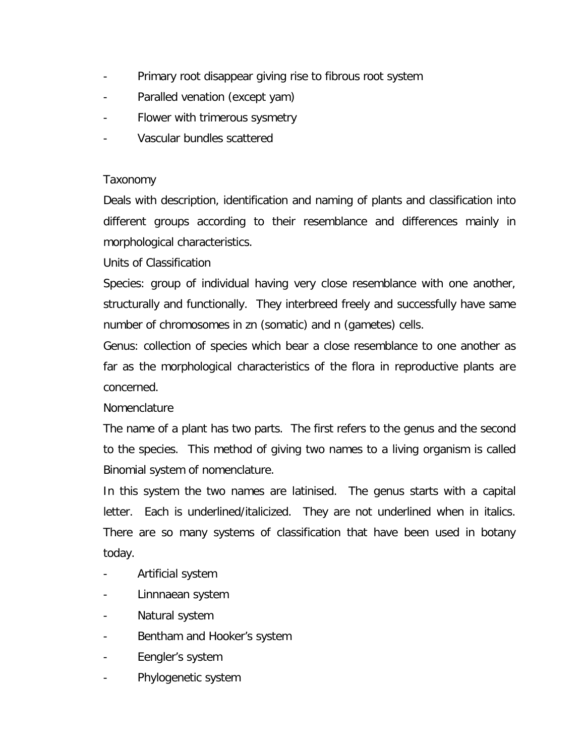- Primary root disappear giving rise to fibrous root system
- Paralled venation (except yam)
- Flower with trimerous sysmetry
- Vascular bundles scattered

# Taxonomy

Deals with description, identification and naming of plants and classification into different groups according to their resemblance and differences mainly in morphological characteristics.

# Units of Classification

Species: group of individual having very close resemblance with one another, structurally and functionally. They interbreed freely and successfully have same number of chromosomes in zn (somatic) and n (gametes) cells.

Genus: collection of species which bear a close resemblance to one another as far as the morphological characteristics of the flora in reproductive plants are concerned.

# **Nomenclature**

The name of a plant has two parts. The first refers to the genus and the second to the species. This method of giving two names to a living organism is called Binomial system of nomenclature.

In this system the two names are latinised. The genus starts with a capital letter. Each is underlined/italicized. They are not underlined when in italics. There are so many systems of classification that have been used in botany today.

- Artificial system
- Linnnaean system
- Natural system
- Bentham and Hooker's system
- Eengler's system
- Phylogenetic system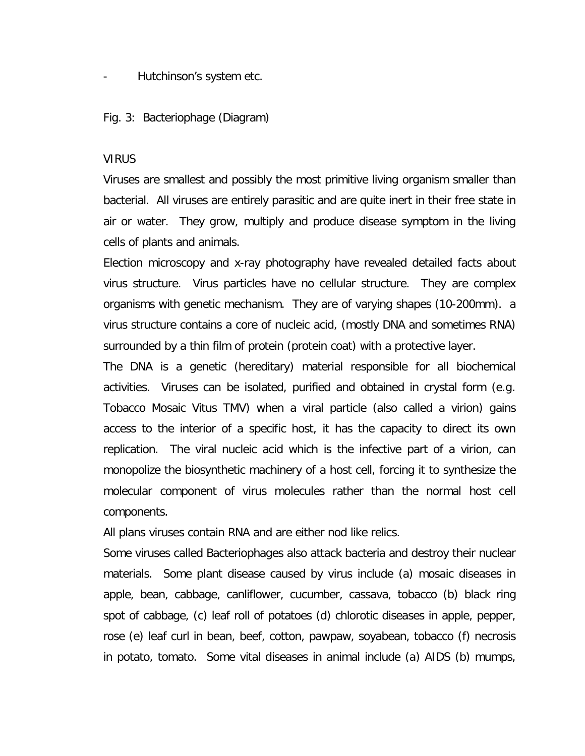Hutchinson's system etc.

Fig. 3: Bacteriophage (Diagram)

#### **VIRUS**

Viruses are smallest and possibly the most primitive living organism smaller than bacterial. All viruses are entirely parasitic and are quite inert in their free state in air or water. They grow, multiply and produce disease symptom in the living cells of plants and animals.

Election microscopy and x-ray photography have revealed detailed facts about virus structure. Virus particles have no cellular structure. They are complex organisms with genetic mechanism. They are of varying shapes (10-200mm). a virus structure contains a core of nucleic acid, (mostly DNA and sometimes RNA) surrounded by a thin film of protein (protein coat) with a protective layer.

The DNA is a genetic (hereditary) material responsible for all biochemical activities. Viruses can be isolated, purified and obtained in crystal form (e.g. Tobacco Mosaic Vitus TMV) when a viral particle (also called a virion) gains access to the interior of a specific host, it has the capacity to direct its own replication. The viral nucleic acid which is the infective part of a virion, can monopolize the biosynthetic machinery of a host cell, forcing it to synthesize the molecular component of virus molecules rather than the normal host cell components.

All plans viruses contain RNA and are either nod like relics.

Some viruses called Bacteriophages also attack bacteria and destroy their nuclear materials. Some plant disease caused by virus include (a) mosaic diseases in apple, bean, cabbage, canliflower, cucumber, cassava, tobacco (b) black ring spot of cabbage, (c) leaf roll of potatoes (d) chlorotic diseases in apple, pepper, rose (e) leaf curl in bean, beef, cotton, pawpaw, soyabean, tobacco (f) necrosis in potato, tomato. Some vital diseases in animal include (a) AIDS (b) mumps,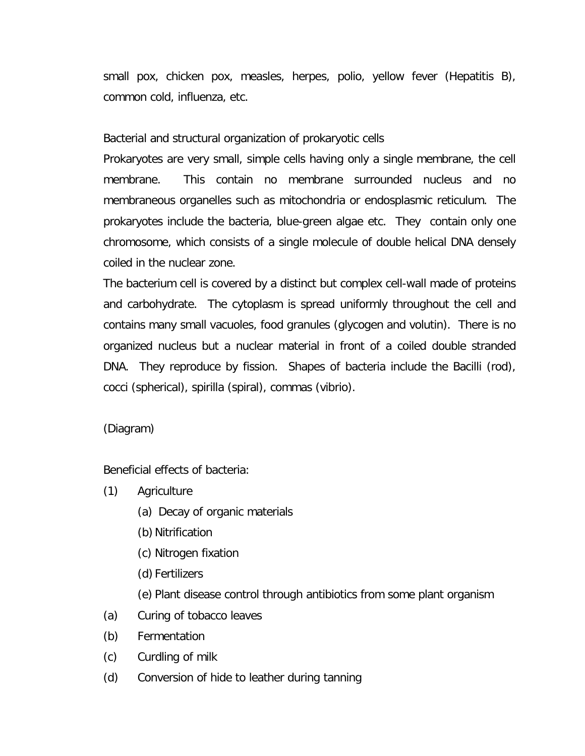small pox, chicken pox, measles, herpes, polio, yellow fever (Hepatitis B), common cold, influenza, etc.

# Bacterial and structural organization of prokaryotic cells

Prokaryotes are very small, simple cells having only a single membrane, the cell membrane. This contain no membrane surrounded nucleus and no membraneous organelles such as mitochondria or endosplasmic reticulum. The prokaryotes include the bacteria, blue-green algae etc. They contain only one chromosome, which consists of a single molecule of double helical DNA densely coiled in the nuclear zone.

The bacterium cell is covered by a distinct but complex cell-wall made of proteins and carbohydrate. The cytoplasm is spread uniformly throughout the cell and contains many small vacuoles, food granules (glycogen and volutin). There is no organized nucleus but a nuclear material in front of a coiled double stranded DNA. They reproduce by fission. Shapes of bacteria include the Bacilli (rod), cocci (spherical), spirilla (spiral), commas (vibrio).

(Diagram)

Beneficial effects of bacteria:

- (1) Agriculture
	- (a) Decay of organic materials
	- (b) Nitrification
	- (c) Nitrogen fixation
	- (d) Fertilizers
	- (e) Plant disease control through antibiotics from some plant organism
- (a) Curing of tobacco leaves
- (b) Fermentation
- (c) Curdling of milk
- (d) Conversion of hide to leather during tanning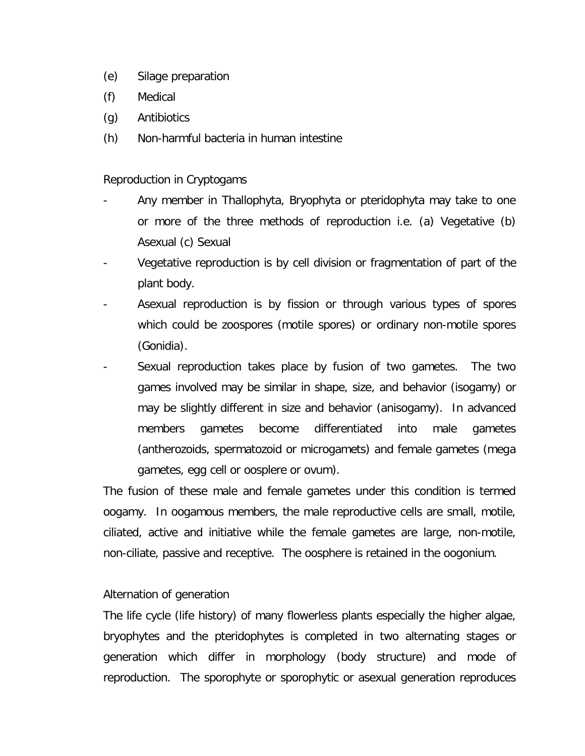- (e) Silage preparation
- (f) Medical
- (g) Antibiotics
- (h) Non-harmful bacteria in human intestine

# Reproduction in Cryptogams

- Any member in Thallophyta, Bryophyta or pteridophyta may take to one or more of the three methods of reproduction i.e. (a) Vegetative (b) Asexual (c) Sexual
- Vegetative reproduction is by cell division or fragmentation of part of the plant body.
- Asexual reproduction is by fission or through various types of spores which could be zoospores (motile spores) or ordinary non-motile spores (Gonidia).
- Sexual reproduction takes place by fusion of two gametes. The two games involved may be similar in shape, size, and behavior (isogamy) or may be slightly different in size and behavior (anisogamy). In advanced members gametes become differentiated into male gametes (antherozoids, spermatozoid or microgamets) and female gametes (mega gametes, egg cell or oosplere or ovum).

The fusion of these male and female gametes under this condition is termed oogamy. In oogamous members, the male reproductive cells are small, motile, ciliated, active and initiative while the female gametes are large, non-motile, non-ciliate, passive and receptive. The oosphere is retained in the oogonium.

# Alternation of generation

The life cycle (life history) of many flowerless plants especially the higher algae, bryophytes and the pteridophytes is completed in two alternating stages or generation which differ in morphology (body structure) and mode of reproduction. The sporophyte or sporophytic or asexual generation reproduces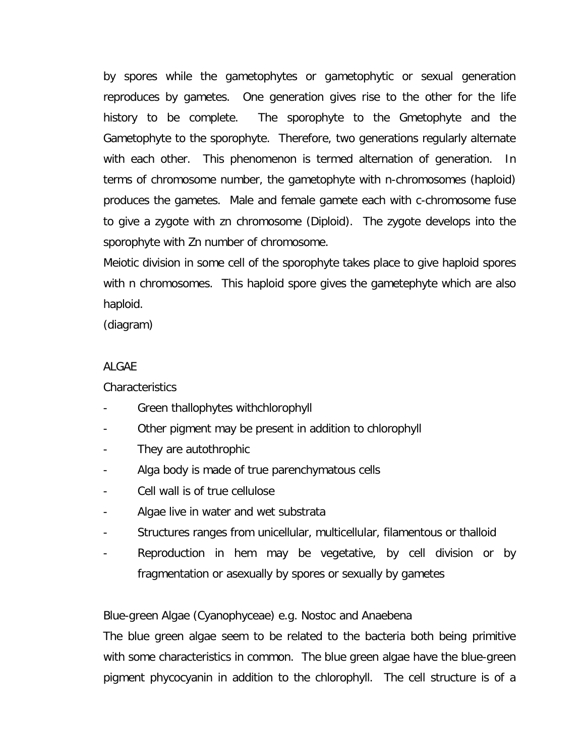by spores while the gametophytes or gametophytic or sexual generation reproduces by gametes. One generation gives rise to the other for the life history to be complete. The sporophyte to the Gmetophyte and the Gametophyte to the sporophyte. Therefore, two generations regularly alternate with each other. This phenomenon is termed alternation of generation. In terms of chromosome number, the gametophyte with n-chromosomes (haploid) produces the gametes. Male and female gamete each with c-chromosome fuse to give a zygote with zn chromosome (Diploid). The zygote develops into the sporophyte with Zn number of chromosome.

Meiotic division in some cell of the sporophyte takes place to give haploid spores with n chromosomes. This haploid spore gives the gametephyte which are also haploid.

(diagram)

#### ALGAE

#### Characteristics

- Green thallophytes withchlorophyll
- Other pigment may be present in addition to chlorophyll
- They are autothrophic
- Alga body is made of true parenchymatous cells
- Cell wall is of true cellulose
- Algae live in water and wet substrata
- Structures ranges from unicellular, multicellular, filamentous or thalloid
- Reproduction in hem may be vegetative, by cell division or by fragmentation or asexually by spores or sexually by gametes

# Blue-green Algae (Cyanophyceae) e.g. Nostoc and Anaebena

The blue green algae seem to be related to the bacteria both being primitive with some characteristics in common. The blue green algae have the blue-green pigment phycocyanin in addition to the chlorophyll. The cell structure is of a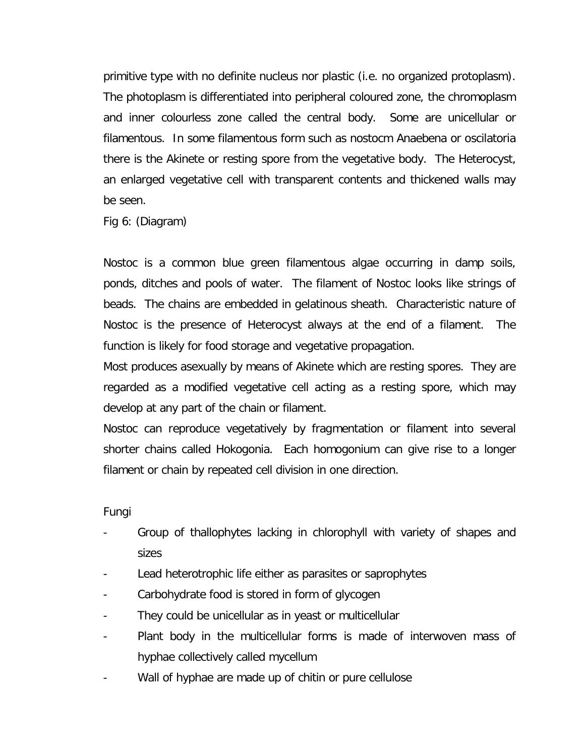primitive type with no definite nucleus nor plastic (i.e. no organized protoplasm). The photoplasm is differentiated into peripheral coloured zone, the chromoplasm and inner colourless zone called the central body. Some are unicellular or filamentous. In some filamentous form such as nostocm Anaebena or oscilatoria there is the Akinete or resting spore from the vegetative body. The Heterocyst, an enlarged vegetative cell with transparent contents and thickened walls may be seen.

Fig 6: (Diagram)

Nostoc is a common blue green filamentous algae occurring in damp soils, ponds, ditches and pools of water. The filament of Nostoc looks like strings of beads. The chains are embedded in gelatinous sheath. Characteristic nature of Nostoc is the presence of Heterocyst always at the end of a filament. The function is likely for food storage and vegetative propagation.

Most produces asexually by means of Akinete which are resting spores. They are regarded as a modified vegetative cell acting as a resting spore, which may develop at any part of the chain or filament.

Nostoc can reproduce vegetatively by fragmentation or filament into several shorter chains called Hokogonia. Each homogonium can give rise to a longer filament or chain by repeated cell division in one direction.

Fungi

- Group of thallophytes lacking in chlorophyll with variety of shapes and sizes
- Lead heterotrophic life either as parasites or saprophytes
- Carbohydrate food is stored in form of glycogen
- They could be unicellular as in yeast or multicellular
- Plant body in the multicellular forms is made of interwoven mass of hyphae collectively called mycellum
- Wall of hyphae are made up of chitin or pure cellulose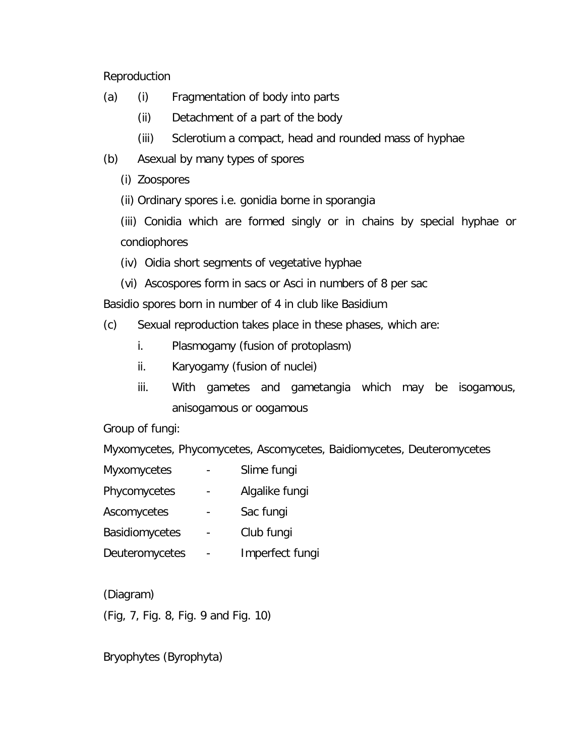Reproduction

- (a) (i) Fragmentation of body into parts
	- (ii) Detachment of a part of the body
	- (iii) Sclerotium a compact, head and rounded mass of hyphae
- (b) Asexual by many types of spores
	- (i) Zoospores
	- (ii) Ordinary spores i.e. gonidia borne in sporangia

(iii) Conidia which are formed singly or in chains by special hyphae or condiophores

- (iv) Oidia short segments of vegetative hyphae
- (vi) Ascospores form in sacs or Asci in numbers of 8 per sac

Basidio spores born in number of 4 in club like Basidium

- (c) Sexual reproduction takes place in these phases, which are:
	- i. Plasmogamy (fusion of protoplasm)
	- ii. Karyogamy (fusion of nuclei)
	- iii. With gametes and gametangia which may be isogamous, anisogamous or oogamous

Group of fungi:

Myxomycetes, Phycomycetes, Ascomycetes, Baidiomycetes, Deuteromycetes

- Myxomycetes Slime fungi
- Phycomycetes Algalike fungi
- Ascomycetes Sac fungi
- Basidiomycetes Club fungi
- Deuteromycetes Imperfect fungi

(Diagram)

(Fig, 7, Fig. 8, Fig. 9 and Fig. 10)

Bryophytes (Byrophyta)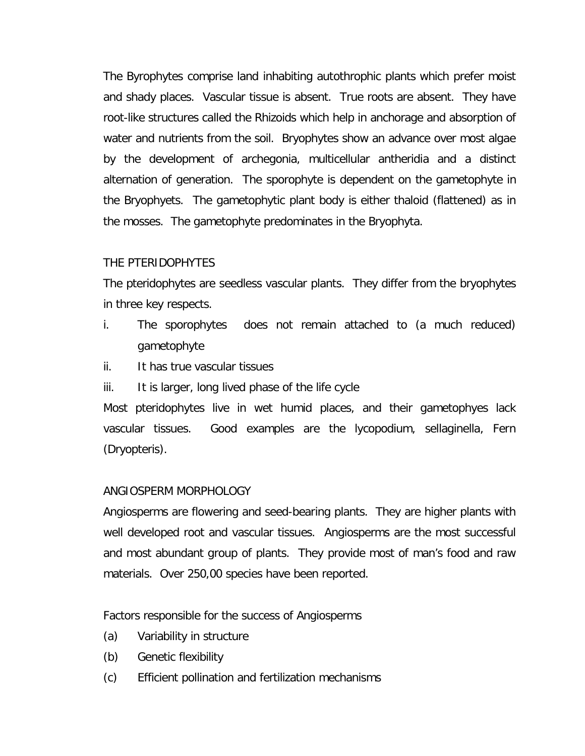The Byrophytes comprise land inhabiting autothrophic plants which prefer moist and shady places. Vascular tissue is absent. True roots are absent. They have root-like structures called the Rhizoids which help in anchorage and absorption of water and nutrients from the soil. Bryophytes show an advance over most algae by the development of archegonia, multicellular antheridia and a distinct alternation of generation. The sporophyte is dependent on the gametophyte in the Bryophyets. The gametophytic plant body is either thaloid (flattened) as in the mosses. The gametophyte predominates in the Bryophyta.

# THE PTERIDOPHYTES

The pteridophytes are seedless vascular plants. They differ from the bryophytes in three key respects.

- i. The sporophytes does not remain attached to (a much reduced) gametophyte
- ii. It has true vascular tissues
- iii. It is larger, long lived phase of the life cycle

Most pteridophytes live in wet humid places, and their gametophyes lack vascular tissues. Good examples are the lycopodium, sellaginella, Fern (Dryopteris).

# ANGIOSPERM MORPHOLOGY

Angiosperms are flowering and seed-bearing plants. They are higher plants with well developed root and vascular tissues. Angiosperms are the most successful and most abundant group of plants. They provide most of man's food and raw materials. Over 250,00 species have been reported.

Factors responsible for the success of Angiosperms

- (a) Variability in structure
- (b) Genetic flexibility
- (c) Efficient pollination and fertilization mechanisms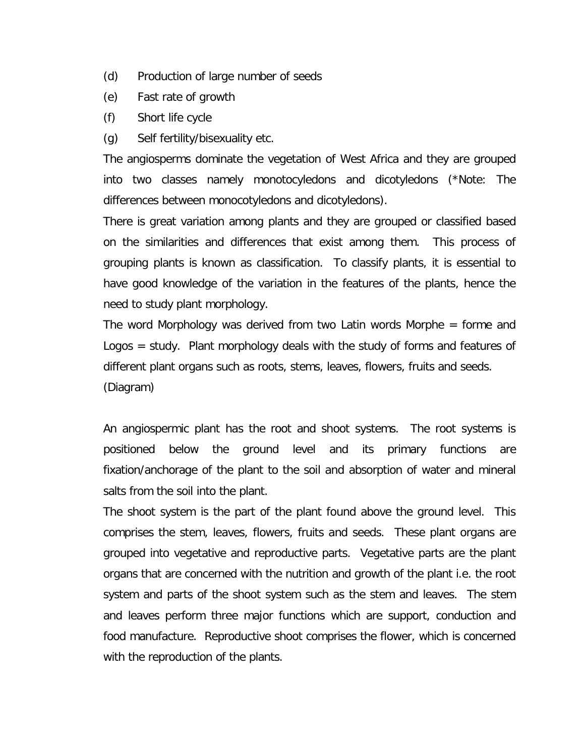- (d) Production of large number of seeds
- (e) Fast rate of growth
- (f) Short life cycle
- (g) Self fertility/bisexuality etc.

The angiosperms dominate the vegetation of West Africa and they are grouped into two classes namely monotocyledons and dicotyledons (\*Note: The differences between monocotyledons and dicotyledons).

There is great variation among plants and they are grouped or classified based on the similarities and differences that exist among them. This process of grouping plants is known as classification. To classify plants, it is essential to have good knowledge of the variation in the features of the plants, hence the need to study plant morphology.

The word Morphology was derived from two Latin words Morphe = forme and Logos = study. Plant morphology deals with the study of forms and features of different plant organs such as roots, stems, leaves, flowers, fruits and seeds. (Diagram)

An angiospermic plant has the root and shoot systems. The root systems is positioned below the ground level and its primary functions are fixation/anchorage of the plant to the soil and absorption of water and mineral salts from the soil into the plant.

The shoot system is the part of the plant found above the ground level. This comprises the stem, leaves, flowers, fruits and seeds. These plant organs are grouped into vegetative and reproductive parts. Vegetative parts are the plant organs that are concerned with the nutrition and growth of the plant i.e. the root system and parts of the shoot system such as the stem and leaves. The stem and leaves perform three major functions which are support, conduction and food manufacture. Reproductive shoot comprises the flower, which is concerned with the reproduction of the plants.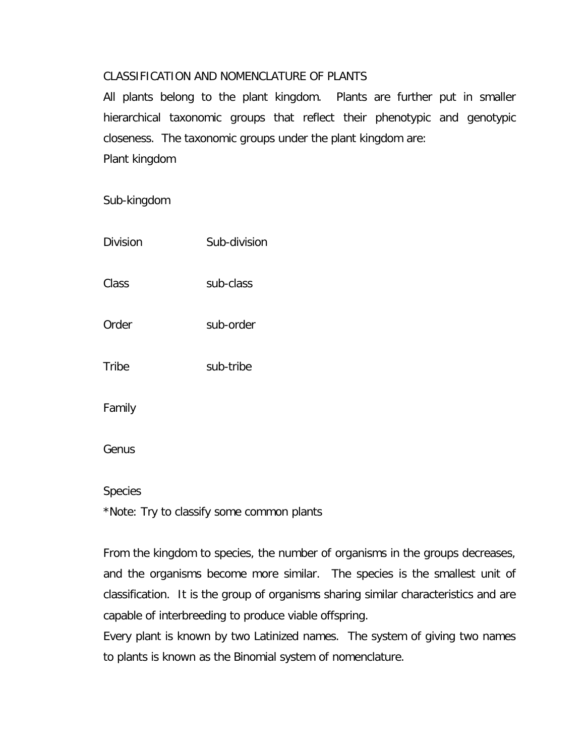# CLASSIFICATION AND NOMENCLATURE OF PLANTS

All plants belong to the plant kingdom. Plants are further put in smaller hierarchical taxonomic groups that reflect their phenotypic and genotypic closeness. The taxonomic groups under the plant kingdom are: Plant kingdom

Sub-kingdom

| <b>Division</b> | Sub-division |
|-----------------|--------------|
| Class           | sub-class    |
| Order           | sub-order    |
| Tribe           | sub-tribe    |
| Family          |              |
| Genus           |              |

**Species** 

\*Note: Try to classify some common plants

From the kingdom to species, the number of organisms in the groups decreases, and the organisms become more similar. The species is the smallest unit of classification. It is the group of organisms sharing similar characteristics and are capable of interbreeding to produce viable offspring.

Every plant is known by two Latinized names. The system of giving two names to plants is known as the Binomial system of nomenclature.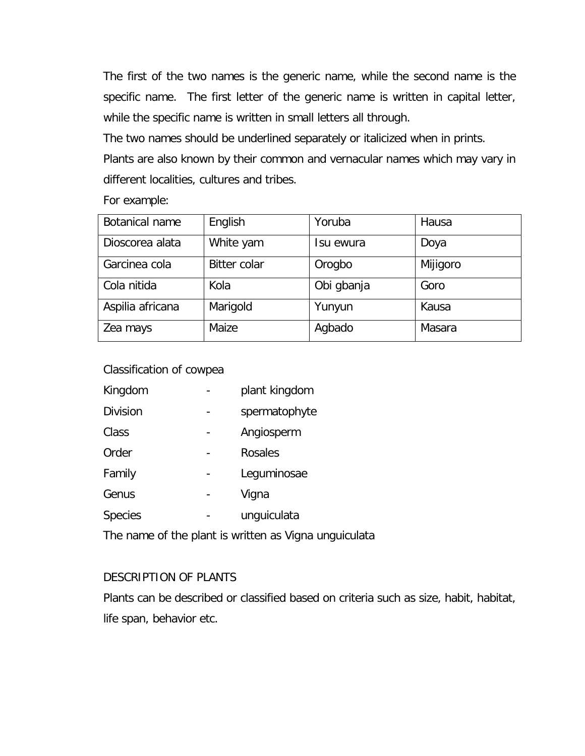The first of the two names is the generic name, while the second name is the specific name. The first letter of the generic name is written in capital letter, while the specific name is written in small letters all through.

The two names should be underlined separately or italicized when in prints.

Plants are also known by their common and vernacular names which may vary in different localities, cultures and tribes.

For example:

| Botanical name   | English             | Yoruba     | Hausa    |
|------------------|---------------------|------------|----------|
| Dioscorea alata  | White yam           | su ewura   | Doya     |
| Garcinea cola    | <b>Bitter colar</b> | Orogbo     | Mijigoro |
| Cola nitida      | Kola                | Obi gbanja | Goro     |
| Aspilia africana | Marigold            | Yunyun     | Kausa    |
| Zea mays         | Maize               | Agbado     | Masara   |

Classification of cowpea

| plant kingdom |
|---------------|
| spermatophyte |
| Angiosperm    |
| Rosales       |
| Leguminosae   |
| Vigna         |
| unguiculata   |
|               |

The name of the plant is written as *Vigna unguiculata*

# DESCRIPTION OF PLANTS

Plants can be described or classified based on criteria such as size, habit, habitat, life span, behavior etc.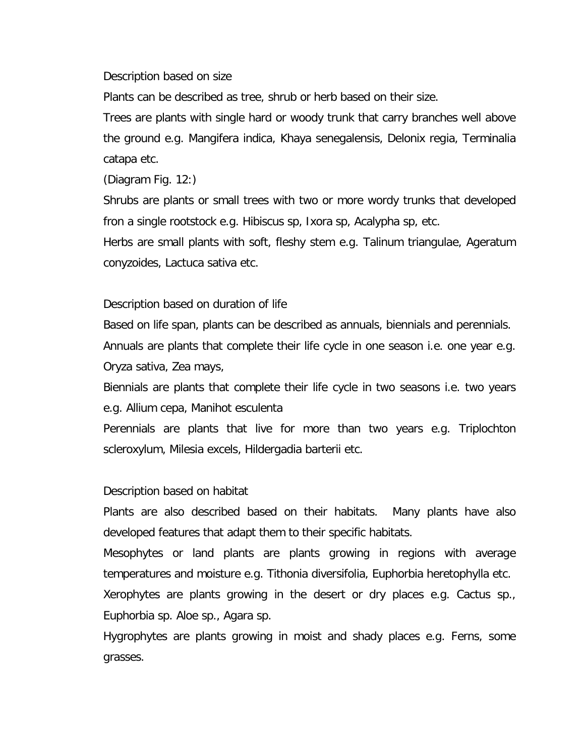Description based on size

Plants can be described as tree, shrub or herb based on their size.

Trees are plants with single hard or woody trunk that carry branches well above the ground e.g. *Mangifera indica, Khaya senegalensis, Delonix regia, Terminalia catapa* etc.

(Diagram Fig. 12:)

Shrubs are plants or small trees with two or more wordy trunks that developed fron a single rootstock e.g. *Hibiscus sp, Ixora sp, Acalypha* sp, etc.

Herbs are small plants with soft, fleshy stem e.g. *Talinum triangulae, Ageratum conyzoides, Lactuca sativa* etc.

Description based on duration of life

Based on life span, plants can be described as annuals, biennials and perennials. Annuals are plants that complete their life cycle in one season i.e. one year e.g. *Oryza sativa, Zea mays*,

Biennials are plants that complete their life cycle in two seasons i.e. two years e.g. *Allium cepa, Manihot esculenta*

Perennials are plants that live for more than two years e.g. *Triplochton scleroxylum, Milesia excels, Hildergadia barterii* etc.

Description based on habitat

Plants are also described based on their habitats. Many plants have also developed features that adapt them to their specific habitats.

Mesophytes or land plants are plants growing in regions with average temperatures and moisture e.g. *Tithonia diversifolia, Euphorbia heretophylla* etc.

Xerophytes are plants growing in the desert or dry places e.g. *Cactus sp., Euphorbia sp. Aloe sp., Agara sp.*

Hygrophytes are plants growing in moist and shady places e.g. Ferns, some grasses.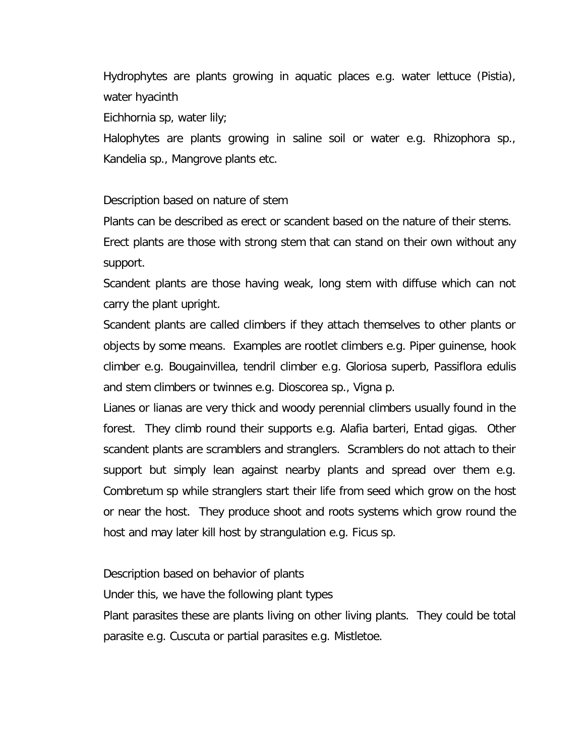Hydrophytes are plants growing in aquatic places e.g. water lettuce (*Pistia*), water hyacinth

Eichhornia sp, water lily;

Halophytes are plants growing in saline soil or water e.g. *Rhizophora sp., Kandelia sp*., Mangrove plants etc.

Description based on nature of stem

Plants can be described as erect or scandent based on the nature of their stems.

Erect plants are those with strong stem that can stand on their own without any support.

Scandent plants are those having weak, long stem with diffuse which can not carry the plant upright.

Scandent plants are called climbers if they attach themselves to other plants or objects by some means. Examples are rootlet climbers e.g. *Piper guinense*, hook climber e.g. *Bougainvillea*, tendril climber e.g. *Gloriosa superb, Passiflora edulis* and stem climbers or twinnes e.g. *Dioscorea sp., Vigna p*.

Lianes or lianas are very thick and woody perennial climbers usually found in the forest. They climb round their supports e.g. *Alafia barteri, Entad gigas*. Other scandent plants are scramblers and stranglers. Scramblers do not attach to their support but simply lean against nearby plants and spread over them e.g. *Combretum sp* while stranglers start their life from seed which grow on the host or near the host. They produce shoot and roots systems which grow round the host and may later kill host by strangulation e.g. *Ficus sp*.

Description based on behavior of plants

Under this, we have the following plant types

Plant parasites these are plants living on other living plants. They could be total parasite e.g. *Cuscuta* or partial parasites e.g. *Mistletoe*.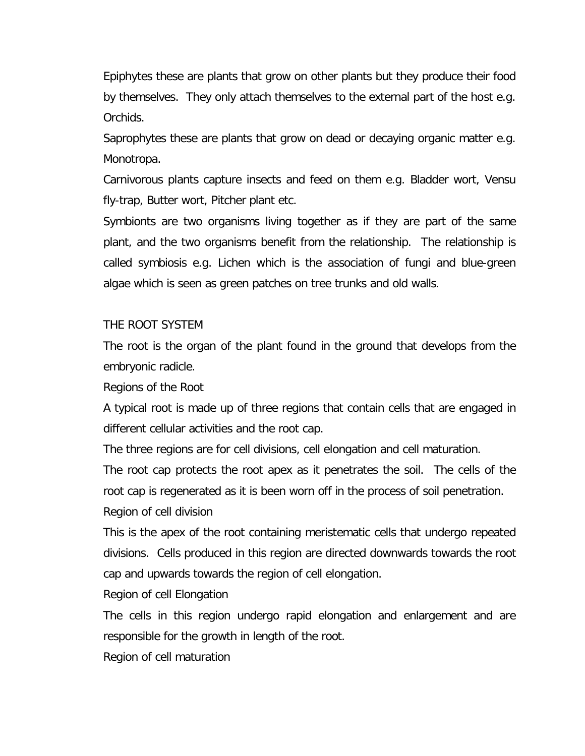Epiphytes these are plants that grow on other plants but they produce their food by themselves. They only attach themselves to the external part of the host e.g. Orchids.

Saprophytes these are plants that grow on dead or decaying organic matter e.g. *Monotropa*.

Carnivorous plants capture insects and feed on them e.g. Bladder wort, Vensu fly-trap, Butter wort, Pitcher plant etc.

Symbionts are two organisms living together as if they are part of the same plant, and the two organisms benefit from the relationship. The relationship is called symbiosis e.g. Lichen which is the association of fungi and blue-green algae which is seen as green patches on tree trunks and old walls.

#### THE ROOT SYSTEM

The root is the organ of the plant found in the ground that develops from the embryonic radicle.

#### Regions of the Root

A typical root is made up of three regions that contain cells that are engaged in different cellular activities and the root cap.

The three regions are for cell divisions, cell elongation and cell maturation.

The root cap protects the root apex as it penetrates the soil. The cells of the root cap is regenerated as it is been worn off in the process of soil penetration.

Region of cell division

This is the apex of the root containing meristematic cells that undergo repeated divisions. Cells produced in this region are directed downwards towards the root cap and upwards towards the region of cell elongation.

Region of cell Elongation

The cells in this region undergo rapid elongation and enlargement and are responsible for the growth in length of the root.

Region of cell maturation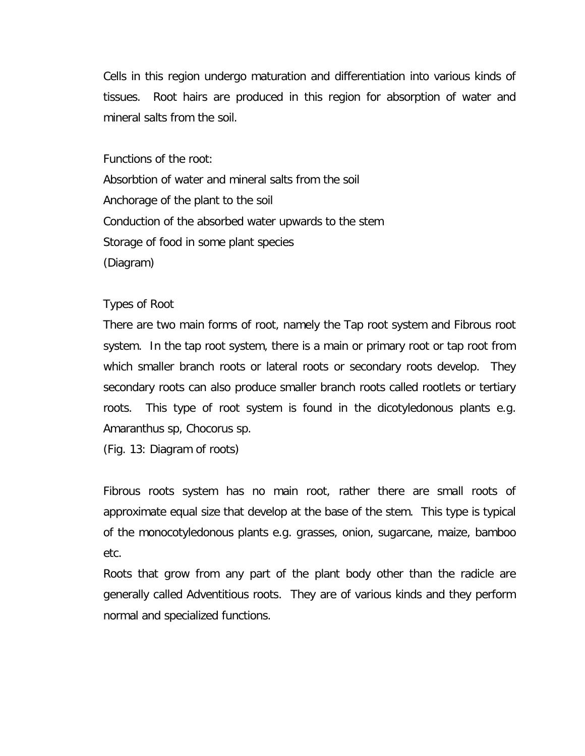Cells in this region undergo maturation and differentiation into various kinds of tissues. Root hairs are produced in this region for absorption of water and mineral salts from the soil.

Functions of the root:

Absorbtion of water and mineral salts from the soil Anchorage of the plant to the soil Conduction of the absorbed water upwards to the stem Storage of food in some plant species (Diagram)

### Types of Root

There are two main forms of root, namely the Tap root system and Fibrous root system. In the tap root system, there is a main or primary root or tap root from which smaller branch roots or lateral roots or secondary roots develop. They secondary roots can also produce smaller branch roots called rootlets or tertiary roots. This type of root system is found in the dicotyledonous plants e.g. *Amaranthus sp, Chocorus sp*.

(Fig. 13: Diagram of roots)

Fibrous roots system has no main root, rather there are small roots of approximate equal size that develop at the base of the stem. This type is typical of the monocotyledonous plants e.g. grasses, onion, sugarcane, maize, bamboo etc.

Roots that grow from any part of the plant body other than the radicle are generally called Adventitious roots. They are of various kinds and they perform normal and specialized functions.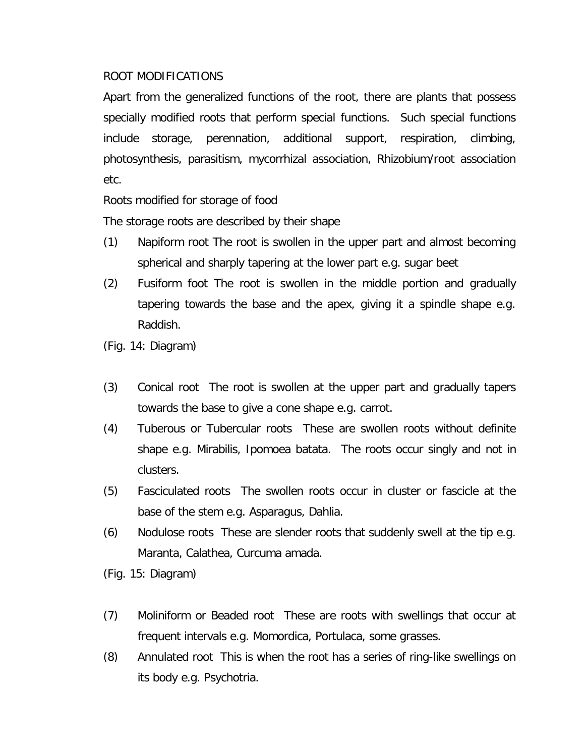# ROOT MODIFICATIONS

Apart from the generalized functions of the root, there are plants that possess specially modified roots that perform special functions. Such special functions include storage, perennation, additional support, respiration, climbing, photosynthesis, parasitism, mycorrhizal association, Rhizobium/root association etc.

Roots modified for storage of food

The storage roots are described by their shape

- (1) Napiform root The root is swollen in the upper part and almost becoming spherical and sharply tapering at the lower part e.g. sugar beet
- (2) Fusiform foot The root is swollen in the middle portion and gradually tapering towards the base and the apex, giving it a spindle shape e.g. Raddish.
- (Fig. 14: Diagram)
- (3) Conical root The root is swollen at the upper part and gradually tapers towards the base to give a cone shape e.g. carrot.
- (4) Tuberous or Tubercular roots These are swollen roots without definite shape e.g. *Mirabilis, Ipomoea batata*. The roots occur singly and not in clusters.
- (5) Fasciculated roots The swollen roots occur in cluster or fascicle at the base of the stem e.g. *Asparagus, Dahlia*.
- (6) Nodulose roots These are slender roots that suddenly swell at the tip e.g. *Maranta, Calathea, Curcuma amada*.

(Fig. 15: Diagram)

- (7) Moliniform or Beaded root These are roots with swellings that occur at frequent intervals e.g. *Momordica, Portulaca*, some grasses.
- (8) Annulated root This is when the root has a series of ring-like swellings on its body e.g. Psychotria.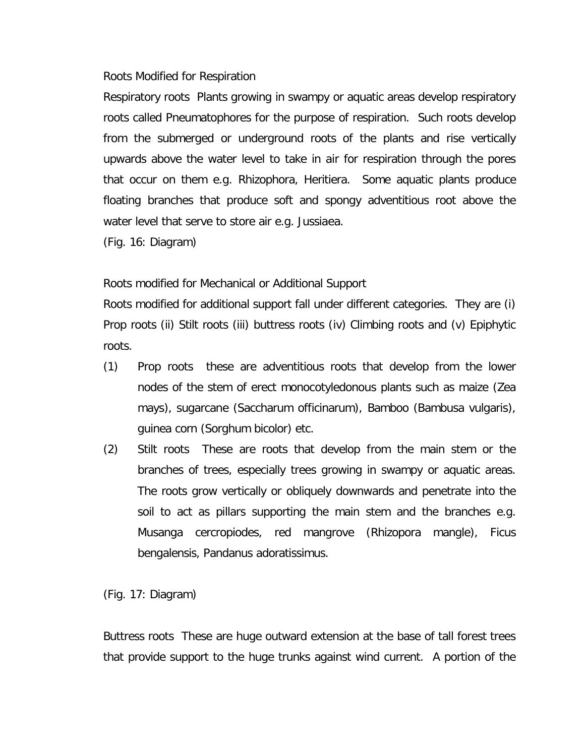#### Roots Modified for Respiration

Respiratory roots Plants growing in swampy or aquatic areas develop respiratory roots called Pneumatophores for the purpose of respiration. Such roots develop from the submerged or underground roots of the plants and rise vertically upwards above the water level to take in air for respiration through the pores that occur on them e.g. *Rhizophora, Heritiera*. Some aquatic plants produce floating branches that produce soft and spongy adventitious root above the water level that serve to store air e.g. *Jussiaea.*

(Fig. 16: Diagram)

Roots modified for Mechanical or Additional Support

Roots modified for additional support fall under different categories. They are (i) Prop roots (ii) Stilt roots (iii) buttress roots (iv) Climbing roots and (v) Epiphytic roots.

- (1) Prop roots these are adventitious roots that develop from the lower nodes of the stem of erect monocotyledonous plants such as maize (*Zea mays*), sugarcane (*Saccharum officinarum*), Bamboo (*Bambusa vulgaris*), guinea corn (*Sorghum bicolor*) etc.
- *(2)* Stilt roots These are roots that develop from the main stem or the branches of trees, especially trees growing in swampy or aquatic areas. The roots grow vertically or obliquely downwards and penetrate into the soil to act as pillars supporting the main stem and the branches e.g. *Musanga cercropiodes*, red mangrove (*Rhizopora mangle*), *Ficus bengalensis, Pandanus adoratissimus.*

(Fig. 17: Diagram)

Buttress roots These are huge outward extension at the base of tall forest trees that provide support to the huge trunks against wind current. A portion of the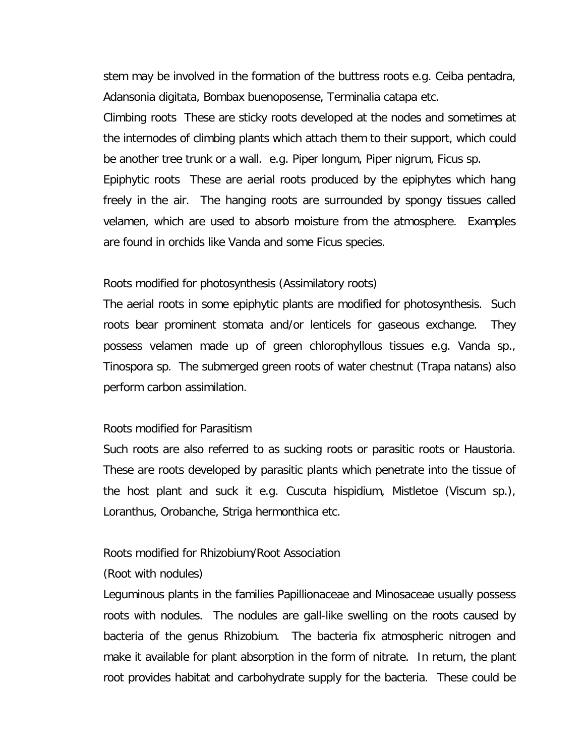stem may be involved in the formation of the buttress roots e.g. *Ceiba pentadra, Adansonia digitata, Bombax buenoposense, Terminalia catapa* etc.

Climbing roots These are sticky roots developed at the nodes and sometimes at the internodes of climbing plants which attach them to their support, which could be another tree trunk or a wall. e.g. *Piper longum, Piper nigrum, Ficus* sp.

Epiphytic roots These are aerial roots produced by the epiphytes which hang freely in the air. The hanging roots are surrounded by spongy tissues called velamen, which are used to absorb moisture from the atmosphere. Examples are found in orchids like *Vanda* and some *Ficus* species.

#### Roots modified for photosynthesis (Assimilatory roots)

The aerial roots in some epiphytic plants are modified for photosynthesis. Such roots bear prominent stomata and/or lenticels for gaseous exchange. They possess velamen made up of green chlorophyllous tissues e.g. Vanda sp., Tinospora sp. The submerged green roots of water chestnut (Trapa natans) also perform carbon assimilation.

#### Roots modified for Parasitism

Such roots are also referred to as sucking roots or parasitic roots or Haustoria. These are roots developed by parasitic plants which penetrate into the tissue of the host plant and suck it e.g. *Cuscuta hispidium*, *Mistletoe (Viscum sp.), Loranthus, Orobanche, Striga hermonthica* etc.

#### Roots modified for Rhizobium/Root Association

#### (Root with nodules)

Leguminous plants in the families Papillionaceae and Minosaceae usually possess roots with nodules. The nodules are gall-like swelling on the roots caused by bacteria of the genus Rhizobium. The bacteria fix atmospheric nitrogen and make it available for plant absorption in the form of nitrate. In return, the plant root provides habitat and carbohydrate supply for the bacteria. These could be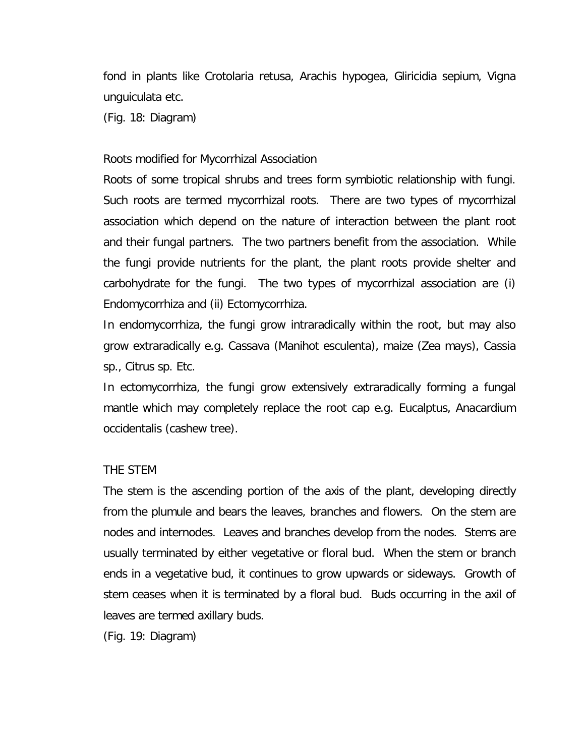fond in plants like *Crotolaria retusa, Arachis hypogea, Gliricidia sepium, Vigna unguiculata* etc.

(Fig. 18: Diagram)

#### Roots modified for Mycorrhizal Association

Roots of some tropical shrubs and trees form symbiotic relationship with fungi. Such roots are termed mycorrhizal roots. There are two types of mycorrhizal association which depend on the nature of interaction between the plant root and their fungal partners. The two partners benefit from the association. While the fungi provide nutrients for the plant, the plant roots provide shelter and carbohydrate for the fungi. The two types of mycorrhizal association are (i) Endomycorrhiza and (ii) Ectomycorrhiza.

In endomycorrhiza, the fungi grow intraradically within the root, but may also grow extraradically e.g. Cassava (*Manihot esculenta*), maize (*Zea mays*), Cassia sp., *Citrus* sp. Etc.

In ectomycorrhiza, the fungi grow extensively extraradically forming a fungal mantle which may completely replace the root cap e.g. *Eucalptus, Anacardium occidentalis* (cashew tree).

#### THE STEM

The stem is the ascending portion of the axis of the plant, developing directly from the plumule and bears the leaves, branches and flowers. On the stem are nodes and internodes. Leaves and branches develop from the nodes. Stems are usually terminated by either vegetative or floral bud. When the stem or branch ends in a vegetative bud, it continues to grow upwards or sideways. Growth of stem ceases when it is terminated by a floral bud. Buds occurring in the axil of leaves are termed axillary buds.

(Fig. 19: Diagram)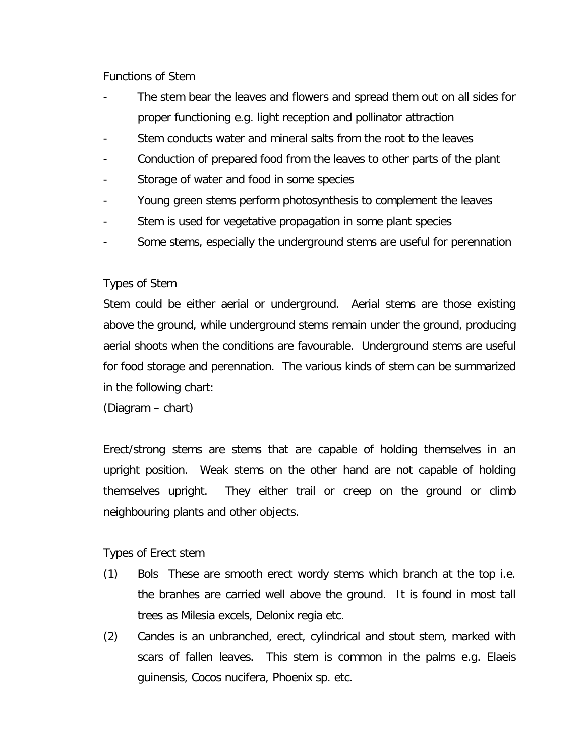### Functions of Stem

- The stem bear the leaves and flowers and spread them out on all sides for proper functioning e.g. light reception and pollinator attraction
- Stem conducts water and mineral salts from the root to the leaves
- Conduction of prepared food from the leaves to other parts of the plant
- Storage of water and food in some species
- Young green stems perform photosynthesis to complement the leaves
- Stem is used for vegetative propagation in some plant species
- Some stems, especially the underground stems are useful for perennation

# Types of Stem

Stem could be either aerial or underground. Aerial stems are those existing above the ground, while underground stems remain under the ground, producing aerial shoots when the conditions are favourable. Underground stems are useful for food storage and perennation. The various kinds of stem can be summarized in the following chart:

(Diagram – chart)

Erect/strong stems are stems that are capable of holding themselves in an upright position. Weak stems on the other hand are not capable of holding themselves upright. They either trail or creep on the ground or climb neighbouring plants and other objects.

# Types of Erect stem

- (1) Bols These are smooth erect wordy stems which branch at the top i.e. the branhes are carried well above the ground. It is found in most tall trees as *Milesia excels, Delonix regia* etc.
- (2) Candes is an unbranched, erect, cylindrical and stout stem, marked with scars of fallen leaves. This stem is common in the palms e.g. *Elaeis guinensis, Cocos nucifera, Phoenix sp*. etc.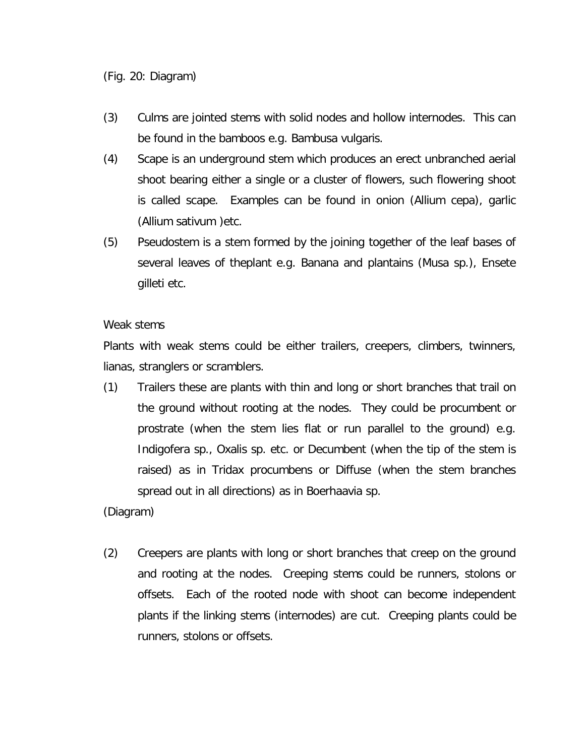- (3) Culms are jointed stems with solid nodes and hollow internodes. This can be found in the bamboos e.g. *Bambusa vulgaris*.
- (4) Scape is an underground stem which produces an erect unbranched aerial shoot bearing either a single or a cluster of flowers, such flowering shoot is called scape. Examples can be found in onion (*Allium cepa*), garlic (*Allium sativum* )etc.
- (5) Pseudostem is a stem formed by the joining together of the leaf bases of several leaves of theplant e.g. Banana and plantains (Musa sp.), *Ensete gilleti* etc.

# Weak stems

Plants with weak stems could be either trailers, creepers, climbers, twinners, lianas, stranglers or scramblers.

(1) Trailers these are plants with thin and long or short branches that trail on the ground without rooting at the nodes. They could be procumbent or prostrate (when the stem lies flat or run parallel to the ground) e.g. *Indigofera sp., Oxalis sp*. etc. or Decumbent (when the tip of the stem is raised) as in *Tridax procumbens* or Diffuse (when the stem branches spread out in all directions) as in *Boerhaavia sp*.

# (Diagram)

(2) Creepers are plants with long or short branches that creep on the ground and rooting at the nodes. Creeping stems could be runners, stolons or offsets. Each of the rooted node with shoot can become independent plants if the linking stems (internodes) are cut. Creeping plants could be runners, stolons or offsets.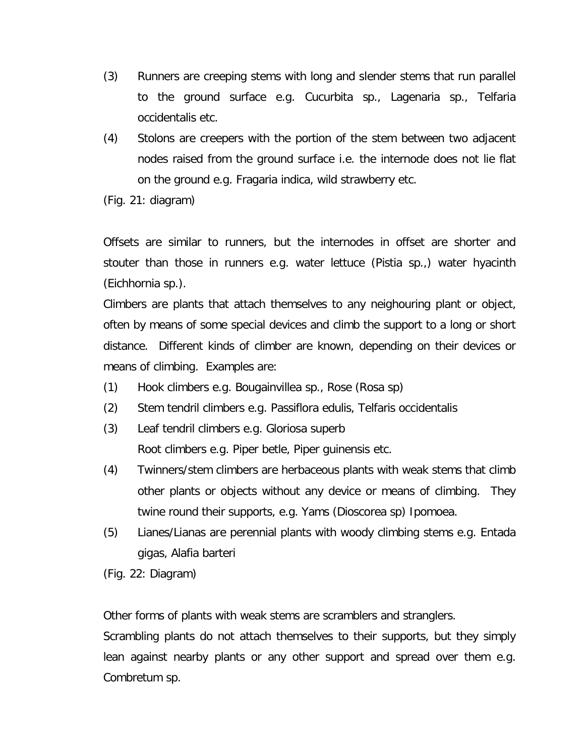- (3) Runners are creeping stems with long and slender stems that run parallel to the ground surface e.g. *Cucurbita sp., Lagenaria sp., Telfaria occidentalis* etc.
- (4) Stolons are creepers with the portion of the stem between two adjacent nodes raised from the ground surface i.e. the internode does not lie flat on the ground e.g. *Fragaria indica*, wild strawberry etc.
- (Fig. 21: diagram)

Offsets are similar to runners, but the internodes in offset are shorter and stouter than those in runners e.g. water lettuce (*Pistia sp*.,) water hyacinth (*Eichhornia sp*.).

Climbers are plants that attach themselves to any neighouring plant or object, often by means of some special devices and climb the support to a long or short distance. Different kinds of climber are known, depending on their devices or means of climbing. Examples are:

- (1) Hook climbers e.g. *Bougainvillea sp*., Rose (*Rosa sp*)
- (2) Stem tendril climbers e.g. *Passiflora edulis, Telfaris occidentalis*
- (3) Leaf tendril climbers e.g. *Gloriosa superb* Root climbers e.g. *Piper betle, Piper guinensis* etc.
- (4) Twinners/stem climbers are herbaceous plants with weak stems that climb other plants or objects without any device or means of climbing. They twine round their supports, e.g. Yams (*Dioscorea* sp) *Ipomoea*.
- *(5)* Lianes/Lianas are perennial plants with woody climbing stems e.g. *Entada gigas, Alafia barteri*
- (Fig. 22: Diagram)

Other forms of plants with weak stems are scramblers and stranglers.

Scrambling plants do not attach themselves to their supports, but they simply lean against nearby plants or any other support and spread over them e.g. *Combretum sp*.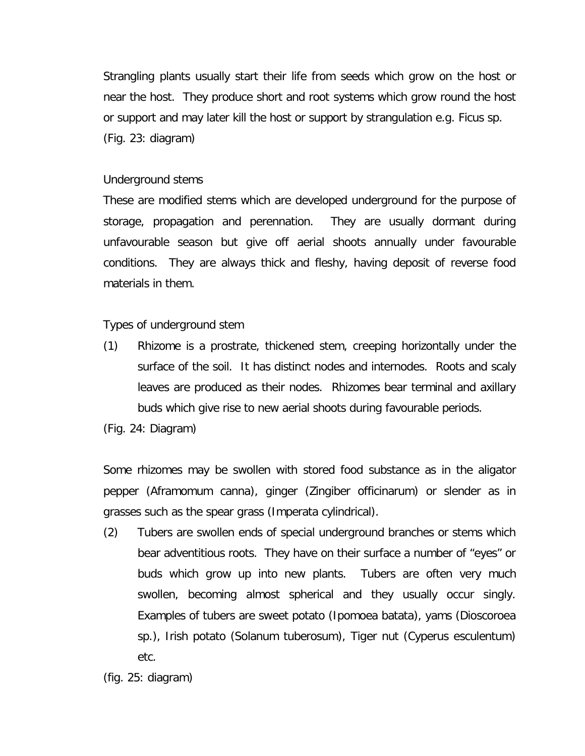Strangling plants usually start their life from seeds which grow on the host or near the host. They produce short and root systems which grow round the host or support and may later kill the host or support by strangulation e.g. *Ficus sp.* (Fig. 23: diagram)

# Underground stems

These are modified stems which are developed underground for the purpose of storage, propagation and perennation. They are usually dormant during unfavourable season but give off aerial shoots annually under favourable conditions. They are always thick and fleshy, having deposit of reverse food materials in them.

Types of underground stem

(1) Rhizome is a prostrate, thickened stem, creeping horizontally under the surface of the soil. It has distinct nodes and internodes. Roots and scaly leaves are produced as their nodes. Rhizomes bear terminal and axillary buds which give rise to new aerial shoots during favourable periods.

(Fig. 24: Diagram)

Some rhizomes may be swollen with stored food substance as in the aligator pepper (*Aframomum canna*), ginger (*Zingiber officinarum*) or slender as in grasses such as the spear grass (*Imperata cylindrical*).

(2) Tubers are swollen ends of special underground branches or stems which bear adventitious roots. They have on their surface a number of "eyes" or buds which grow up into new plants. Tubers are often very much swollen, becoming almost spherical and they usually occur singly. Examples of tubers are sweet potato (*Ipomoea batata*), yams (*Dioscoroea* sp.), Irish potato (*Solanum tuberosum*), Tiger nut (*Cyperus esculentum*) etc.

<sup>(</sup>fig. 25: diagram)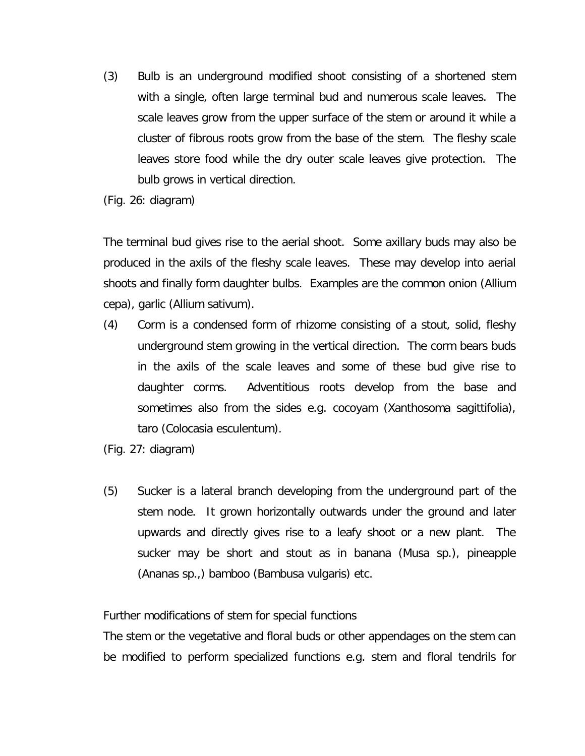- (3) Bulb is an underground modified shoot consisting of a shortened stem with a single, often large terminal bud and numerous scale leaves. The scale leaves grow from the upper surface of the stem or around it while a cluster of fibrous roots grow from the base of the stem. The fleshy scale leaves store food while the dry outer scale leaves give protection. The bulb grows in vertical direction.
- (Fig. 26: diagram)

The terminal bud gives rise to the aerial shoot. Some axillary buds may also be produced in the axils of the fleshy scale leaves. These may develop into aerial shoots and finally form daughter bulbs. Examples are the common onion (*Allium cepa*), garlic (*Allium sativum*).

- (4) Corm is a condensed form of rhizome consisting of a stout, solid, fleshy underground stem growing in the vertical direction. The corm bears buds in the axils of the scale leaves and some of these bud give rise to daughter corms. Adventitious roots develop from the base and sometimes also from the sides e.g. cocoyam (*Xanthosoma sagittifolia*), taro (*Colocasia esculentum*).
- (Fig. 27: diagram)
- (5) Sucker is a lateral branch developing from the underground part of the stem node. It grown horizontally outwards under the ground and later upwards and directly gives rise to a leafy shoot or a new plant. The sucker may be short and stout as in banana (*Musa sp*.), pineapple (*Ananas sp*.,) bamboo (*Bambusa vulgaris*) etc.

Further modifications of stem for special functions

The stem or the vegetative and floral buds or other appendages on the stem can be modified to perform specialized functions e.g. stem and floral tendrils for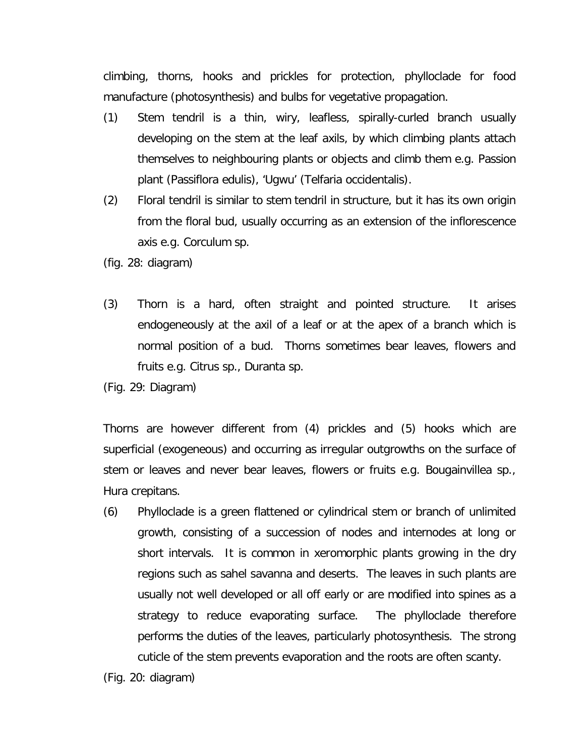climbing, thorns, hooks and prickles for protection, phylloclade for food manufacture (photosynthesis) and bulbs for vegetative propagation.

- (1) Stem tendril is a thin, wiry, leafless, spirally-curled branch usually developing on the stem at the leaf axils, by which climbing plants attach themselves to neighbouring plants or objects and climb them e.g. Passion plant (*Passiflora edulis*), 'Ugwu' (*Telfaria occidentalis*).
- (2) Floral tendril is similar to stem tendril in structure, but it has its own origin from the floral bud, usually occurring as an extension of the inflorescence axis e.g. *Corculum sp*.
- (fig. 28: diagram)
- (3) Thorn is a hard, often straight and pointed structure. It arises endogeneously at the axil of a leaf or at the apex of a branch which is normal position of a bud. Thorns sometimes bear leaves, flowers and fruits e.g. *Citrus sp., Duranta sp*.
- (Fig. 29: Diagram)

Thorns are however different from (4) prickles and (5) hooks which are superficial (exogeneous) and occurring as irregular outgrowths on the surface of stem or leaves and never bear leaves, flowers or fruits e.g. *Bougainvillea sp., Hura crepitans.*

(6) Phylloclade is a green flattened or cylindrical stem or branch of unlimited growth, consisting of a succession of nodes and internodes at long or short intervals. It is common in xeromorphic plants growing in the dry regions such as sahel savanna and deserts. The leaves in such plants are usually not well developed or all off early or are modified into spines as a strategy to reduce evaporating surface. The phylloclade therefore performs the duties of the leaves, particularly photosynthesis. The strong cuticle of the stem prevents evaporation and the roots are often scanty.

<sup>(</sup>Fig. 20: diagram)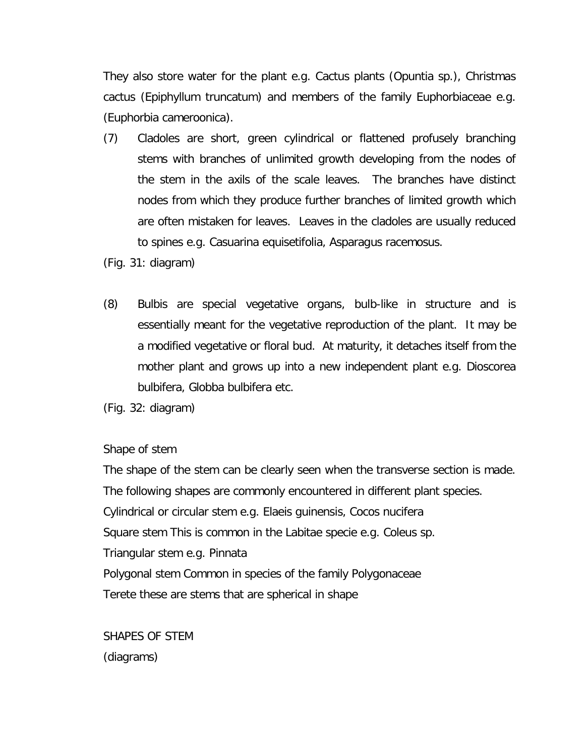They also store water for the plant e.g. Cactus plants (*Opuntia sp*.), Christmas cactus (*Epiphyllum truncatum*) and members of the family Euphorbiaceae e.g. (*Euphorbia cameroonica*).

- (7) Cladoles are short, green cylindrical or flattened profusely branching stems with branches of unlimited growth developing from the nodes of the stem in the axils of the scale leaves. The branches have distinct nodes from which they produce further branches of limited growth which are often mistaken for leaves. Leaves in the cladoles are usually reduced to spines e.g. *Casuarina equisetifolia, Asparagus racemosus*.
- (Fig. 31: diagram)
- (8) Bulbis are special vegetative organs, bulb-like in structure and is essentially meant for the vegetative reproduction of the plant. It may be a modified vegetative or floral bud. At maturity, it detaches itself from the mother plant and grows up into a new independent plant e.g. *Dioscorea bulbifera, Globba bulbifera* etc.

(Fig. 32: diagram)

Shape of stem

The shape of the stem can be clearly seen when the transverse section is made. The following shapes are commonly encountered in different plant species. Cylindrical or circular stem e.g. *Elaeis guinensis, Cocos nucifera* Square stem This is common in the Labitae specie e.g. *Coleus sp.* Triangular stem e.g*. Pinnata* Polygonal stem Common in species of the family Polygonaceae Terete these are stems that are spherical in shape

SHAPES OF STEM (diagrams)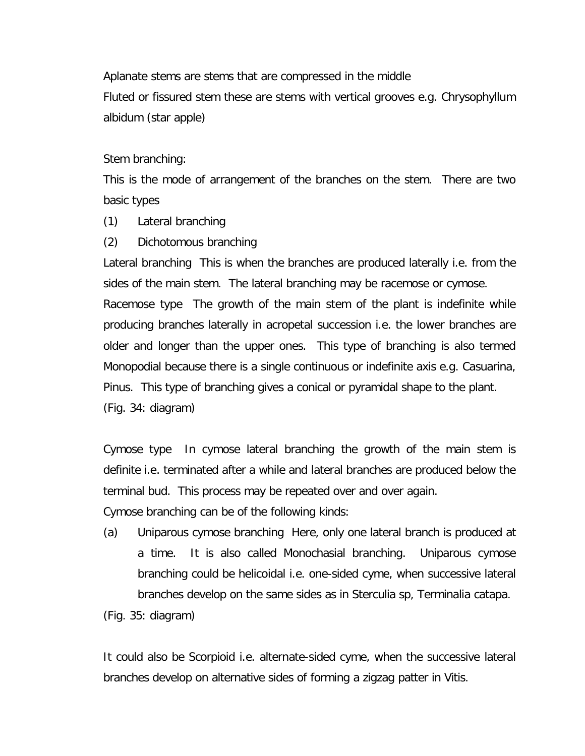Aplanate stems are stems that are compressed in the middle Fluted or fissured stem these are stems with vertical grooves e.g. *Chrysophyllum albidum* (star apple)

Stem branching:

This is the mode of arrangement of the branches on the stem. There are two basic types

- (1) Lateral branching
- (2) Dichotomous branching

Lateral branching This is when the branches are produced laterally i.e. from the sides of the main stem. The lateral branching may be racemose or cymose.

Racemose type The growth of the main stem of the plant is indefinite while producing branches laterally in acropetal succession i.e. the lower branches are older and longer than the upper ones. This type of branching is also termed Monopodial because there is a single continuous or indefinite axis e.g. *Casuarina, Pinus*. This type of branching gives a conical or pyramidal shape to the plant. (Fig. 34: diagram)

Cymose type In cymose lateral branching the growth of the main stem is definite i.e. terminated after a while and lateral branches are produced below the terminal bud. This process may be repeated over and over again.

Cymose branching can be of the following kinds:

(a) Uniparous cymose branching Here, only one lateral branch is produced at a time. It is also called Monochasial branching. Uniparous cymose branching could be helicoidal i.e. one-sided cyme, when successive lateral branches develop on the same sides as in *Sterculia sp, Terminalia catapa*.

(Fig. 35: diagram)

It could also be Scorpioid i.e. alternate-sided cyme, when the successive lateral branches develop on alternative sides of forming a zigzag patter in Vitis.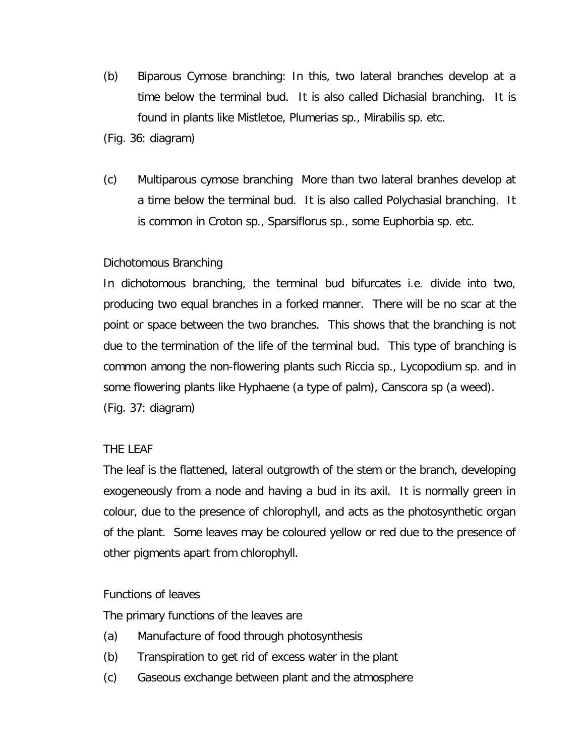- (b) Biparous Cymose branching: In this, two lateral branches develop at a time below the terminal bud. It is also called Dichasial branching. It is found in plants like Mistletoe, *Plumerias sp., Mirabilis sp*. etc.
- (Fig. 36: diagram)
- (c) Multiparous cymose branching More than two lateral branhes develop at a time below the terminal bud. It is also called Polychasial branching. It is common in *Croton sp., Sparsiflorus sp*., some *Euphorbia sp*. etc.

# Dichotomous Branching

In dichotomous branching, the terminal bud bifurcates i.e. divide into two, producing two equal branches in a forked manner. There will be no scar at the point or space between the two branches. This shows that the branching is not due to the termination of the life of the terminal bud. This type of branching is common among the non-flowering plants such *Riccia sp., Lycopodium sp*. and in some flowering plants like Hyphaene (a type of palm), *Canscora sp* (a weed). (Fig. 37: diagram)

# THE LEAF

The leaf is the flattened, lateral outgrowth of the stem or the branch, developing exogeneously from a node and having a bud in its axil. It is normally green in colour, due to the presence of chlorophyll, and acts as the photosynthetic organ of the plant. Some leaves may be coloured yellow or red due to the presence of other pigments apart from chlorophyll.

# Functions of leaves

The primary functions of the leaves are

- (a) Manufacture of food through photosynthesis
- (b) Transpiration to get rid of excess water in the plant
- (c) Gaseous exchange between plant and the atmosphere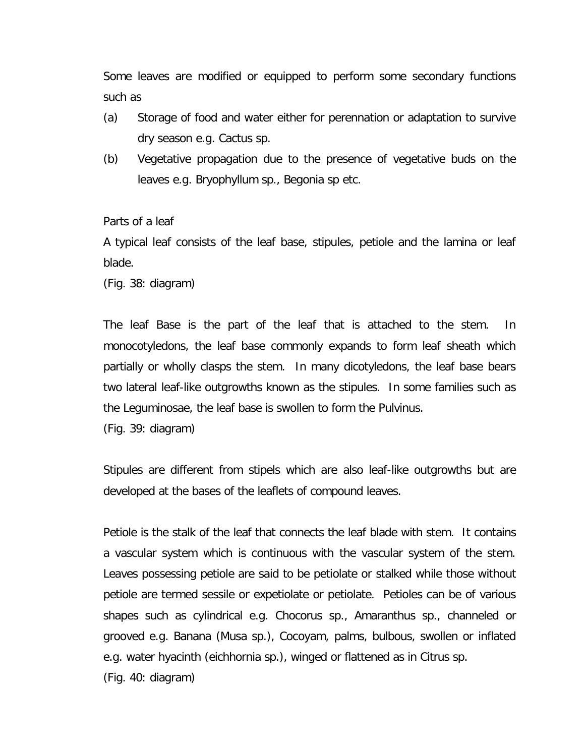Some leaves are modified or equipped to perform some secondary functions such as

- (a) Storage of food and water either for perennation or adaptation to survive dry season e.g. Cactus sp.
- (b) Vegetative propagation due to the presence of vegetative buds on the leaves e.g. *Bryophyllum sp., Begonia sp* etc.

Parts of a leaf

A typical leaf consists of the leaf base, stipules, petiole and the lamina or leaf blade.

(Fig. 38: diagram)

The leaf Base is the part of the leaf that is attached to the stem. In monocotyledons, the leaf base commonly expands to form leaf sheath which partially or wholly clasps the stem. In many dicotyledons, the leaf base bears two lateral leaf-like outgrowths known as the stipules. In some families such as the Leguminosae, the leaf base is swollen to form the Pulvinus.

(Fig. 39: diagram)

Stipules are different from stipels which are also leaf-like outgrowths but are developed at the bases of the leaflets of compound leaves.

Petiole is the stalk of the leaf that connects the leaf blade with stem. It contains a vascular system which is continuous with the vascular system of the stem. Leaves possessing petiole are said to be petiolate or stalked while those without petiole are termed sessile or expetiolate or petiolate. Petioles can be of various shapes such as cylindrical e.g. *Chocorus sp., Amaranthus* sp., channeled or grooved e.g. Banana (Musa sp.), Cocoyam, palms, bulbous, swollen or inflated e.g. water hyacinth (*eichhornia sp*.), winged or flattened as in Citrus sp. (Fig. 40: diagram)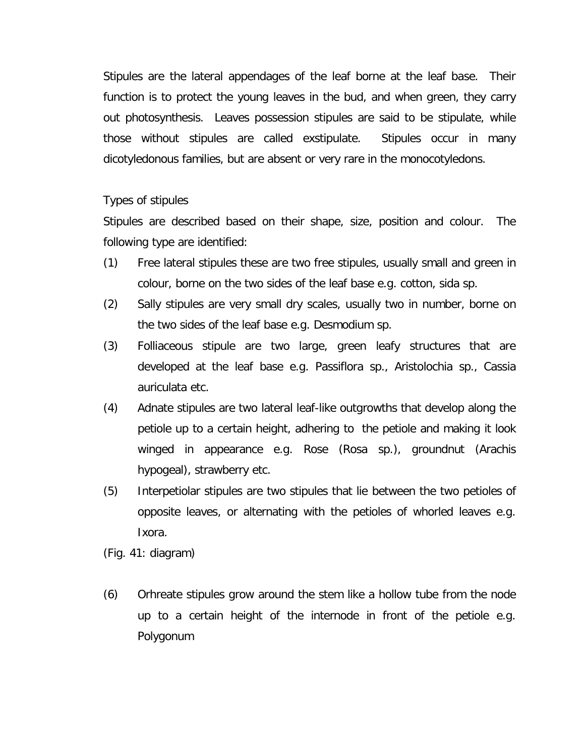Stipules are the lateral appendages of the leaf borne at the leaf base. Their function is to protect the young leaves in the bud, and when green, they carry out photosynthesis. Leaves possession stipules are said to be stipulate, while those without stipules are called exstipulate. Stipules occur in many dicotyledonous families, but are absent or very rare in the monocotyledons.

Types of stipules

Stipules are described based on their shape, size, position and colour. The following type are identified:

- (1) Free lateral stipules these are two free stipules, usually small and green in colour, borne on the two sides of the leaf base e.g. cotton, sida sp.
- (2) Sally stipules are very small dry scales, usually two in number, borne on the two sides of the leaf base e.g. *Desmodium sp*.
- (3) Folliaceous stipule are two large, green leafy structures that are developed at the leaf base e.g. *Passiflora sp., Aristolochia sp., Cassia auriculata* etc.
- (4) Adnate stipules are two lateral leaf-like outgrowths that develop along the petiole up to a certain height, adhering to the petiole and making it look winged in appearance e.g. Rose (Rosa sp.), groundnut (*Arachis hypogea*l), strawberry etc.
- (5) Interpetiolar stipules are two stipules that lie between the two petioles of opposite leaves, or alternating with the petioles of whorled leaves e.g. *Ixora*.

(Fig. 41: diagram)

(6) Orhreate stipules grow around the stem like a hollow tube from the node up to a certain height of the internode in front of the petiole e.g. Polygonum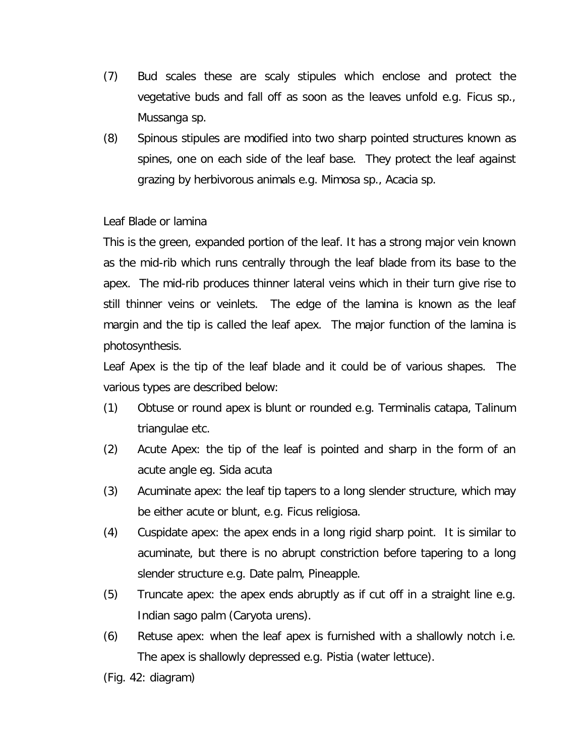- *(7)* Bud scales these are scaly stipules which enclose and protect the vegetative buds and fall off as soon as the leaves unfold e.g. *Ficus sp., Mussanga sp.*
- (8) Spinous stipules are modified into two sharp pointed structures known as spines, one on each side of the leaf base. They protect the leaf against grazing by herbivorous animals e.g. Mimosa sp., Acacia sp.

# Leaf Blade or lamina

This is the green, expanded portion of the leaf. It has a strong major vein known as the mid-rib which runs centrally through the leaf blade from its base to the apex. The mid-rib produces thinner lateral veins which in their turn give rise to still thinner veins or veinlets. The edge of the lamina is known as the leaf margin and the tip is called the leaf apex. The major function of the lamina is photosynthesis.

Leaf Apex is the tip of the leaf blade and it could be of various shapes. The various types are described below:

- (1) Obtuse or round apex is blunt or rounded e.g. *Terminalis catapa, Talinum triangulae* etc.
- (2) Acute Apex: the tip of the leaf is pointed and sharp in the form of an acute angle eg. *Sida acuta*
- (3) Acuminate apex: the leaf tip tapers to a long slender structure, which may be either acute or blunt, e.g. *Ficus religiosa*.
- (4) Cuspidate apex: the apex ends in a long rigid sharp point. It is similar to acuminate, but there is no abrupt constriction before tapering to a long slender structure e.g. Date palm, Pineapple.
- (5) Truncate apex: the apex ends abruptly as if cut off in a straight line e.g. Indian sago palm (*Caryota urens*).
- (6) Retuse apex: when the leaf apex is furnished with a shallowly notch i.e. The apex is shallowly depressed e.g. *Pistia* (water lettuce).
- (Fig. 42: diagram)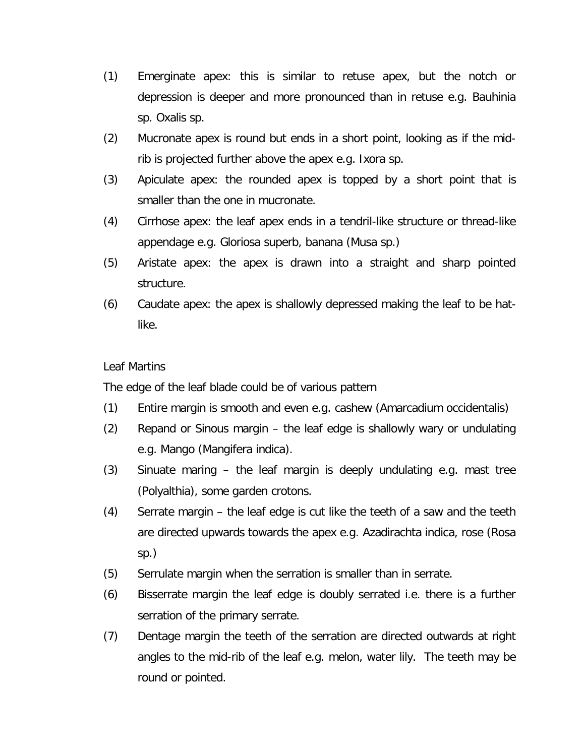- *(1)* Emerginate apex: this is similar to retuse apex, but the notch or depression is deeper and more pronounced than in retuse e.g. *Bauhinia sp. Oxalis sp.*
- (2) Mucronate apex is round but ends in a short point, looking as if the midrib is projected further above the apex e.g. *Ixora sp*.
- (3) Apiculate apex: the rounded apex is topped by a short point that is smaller than the one in mucronate.
- (4) Cirrhose apex: the leaf apex ends in a tendril-like structure or thread-like appendage e.g. Gloriosa superb, banana (*Musa sp*.)
- (5) Aristate apex: the apex is drawn into a straight and sharp pointed structure.
- (6) Caudate apex: the apex is shallowly depressed making the leaf to be hatlike.

# Leaf Martins

The edge of the leaf blade could be of various pattern

- (1) Entire margin is smooth and even e.g. cashew (*Amarcadium occidentalis*)
- (2) Repand or Sinous margin the leaf edge is shallowly wary or undulating e.g. Mango (*Mangifera indica*).
- (3) Sinuate maring the leaf margin is deeply undulating e.g. mast tree (Polyalthia), some garden crotons.
- (4) Serrate margin the leaf edge is cut like the teeth of a saw and the teeth are directed upwards towards the apex e.g. *Azadirachta indica*, rose (*Rosa* sp.)
- (5) Serrulate margin when the serration is smaller than in serrate.
- (6) Bisserrate margin the leaf edge is doubly serrated i.e. there is a further serration of the primary serrate.
- (7) Dentage margin the teeth of the serration are directed outwards at right angles to the mid-rib of the leaf e.g. melon, water lily. The teeth may be round or pointed.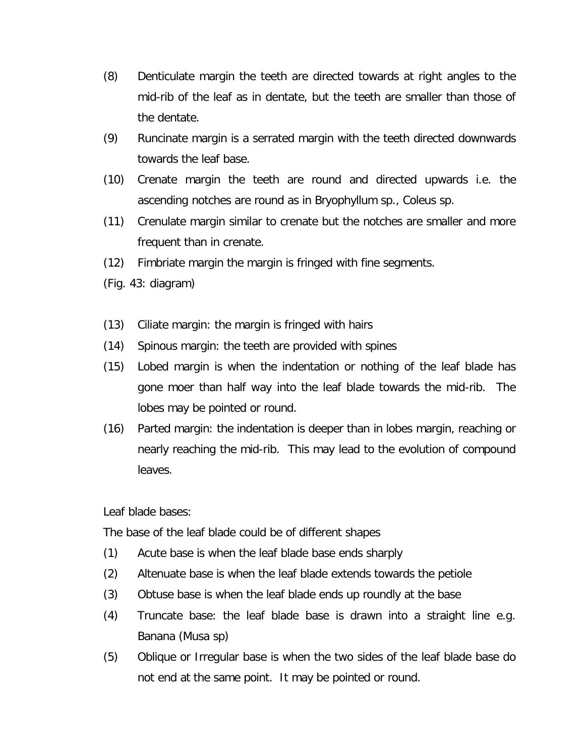- (8) Denticulate margin the teeth are directed towards at right angles to the mid-rib of the leaf as in dentate, but the teeth are smaller than those of the dentate.
- (9) Runcinate margin is a serrated margin with the teeth directed downwards towards the leaf base.
- (10) Crenate margin the teeth are round and directed upwards i.e. the ascending notches are round as in *Bryophyllum sp., Coleus sp*.
- (11) Crenulate margin similar to crenate but the notches are smaller and more frequent than in crenate.
- (12) Fimbriate margin the margin is fringed with fine segments.
- (Fig. 43: diagram)
- (13) Ciliate margin: the margin is fringed with hairs
- (14) Spinous margin: the teeth are provided with spines
- (15) Lobed margin is when the indentation or nothing of the leaf blade has gone moer than half way into the leaf blade towards the mid-rib. The lobes may be pointed or round.
- (16) Parted margin: the indentation is deeper than in lobes margin, reaching or nearly reaching the mid-rib. This may lead to the evolution of compound leaves.

Leaf blade bases:

The base of the leaf blade could be of different shapes

- (1) Acute base is when the leaf blade base ends sharply
- (2) Altenuate base is when the leaf blade extends towards the petiole
- (3) Obtuse base is when the leaf blade ends up roundly at the base
- (4) Truncate base: the leaf blade base is drawn into a straight line e.g. Banana (Musa sp)
- (5) Oblique or Irregular base is when the two sides of the leaf blade base do not end at the same point. It may be pointed or round.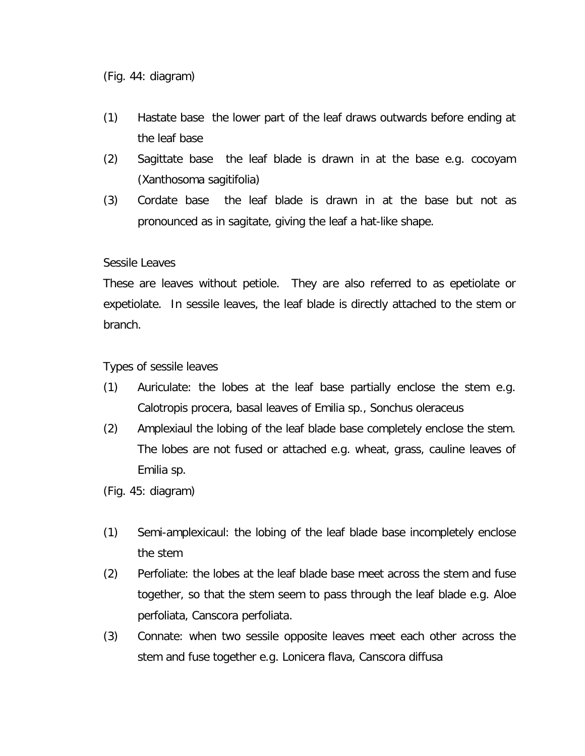- (1) Hastate base the lower part of the leaf draws outwards before ending at the leaf base
- (2) Sagittate base the leaf blade is drawn in at the base e.g. cocoyam (*Xanthosoma sagitifolia*)
- (3) Cordate base the leaf blade is drawn in at the base but not as pronounced as in sagitate, giving the leaf a hat-like shape.

#### Sessile Leaves

These are leaves without petiole. They are also referred to as epetiolate or expetiolate. In sessile leaves, the leaf blade is directly attached to the stem or branch.

Types of sessile leaves

- (1) Auriculate: the lobes at the leaf base partially enclose the stem e.g. *Calotropis procera*, basal leaves of Emilia sp., *Sonchus oleraceus*
- (2) Amplexiaul the lobing of the leaf blade base completely enclose the stem. The lobes are not fused or attached e.g. wheat, grass, cauline leaves of Emilia sp.
- (Fig. 45: diagram)
- (1) Semi-amplexicaul: the lobing of the leaf blade base incompletely enclose the stem
- *(2)* Perfoliate: the lobes at the leaf blade base meet across the stem and fuse together, so that the stem seem to pass through the leaf blade e.g. *Aloe perfoliata, Canscora perfoliata.*
- (3) Connate: when two sessile opposite leaves meet each other across the stem and fuse together e.g. *Lonicera flava, Canscora diffusa*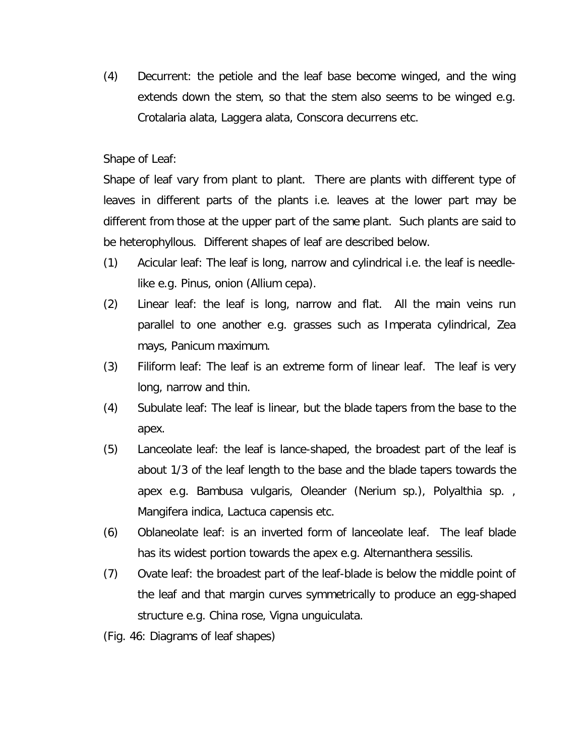(4) Decurrent: the petiole and the leaf base become winged, and the wing extends down the stem, so that the stem also seems to be winged e.g. *Crotalaria alata, Laggera alata, Conscora decurrens* etc.

### Shape of Leaf:

Shape of leaf vary from plant to plant. There are plants with different type of leaves in different parts of the plants i.e. leaves at the lower part may be different from those at the upper part of the same plant. Such plants are said to be heterophyllous. Different shapes of leaf are described below.

- (1) Acicular leaf: The leaf is long, narrow and cylindrical i.e. the leaf is needlelike e.g. *Pinus*, onion (*Allium cepa*).
- *(2)* Linear leaf: the leaf is long, narrow and flat. All the main veins run parallel to one another e.g. grasses such as *Imperata cylindrical, Zea mays, Panicum maximum.*
- (3) Filiform leaf: The leaf is an extreme form of linear leaf. The leaf is very long, narrow and thin.
- (4) Subulate leaf: The leaf is linear, but the blade tapers from the base to the apex.
- (5) Lanceolate leaf: the leaf is lance-shaped, the broadest part of the leaf is about 1/3 of the leaf length to the base and the blade tapers towards the apex e.g. *Bambusa vulgaris, Oleander (Nerium sp.), Polyalthia sp. , Mangifera indica, Lactuca capensis* etc.
- (6) Oblaneolate leaf: is an inverted form of lanceolate leaf. The leaf blade has its widest portion towards the apex e.g*. Alternanthera sessilis*.
- (7) Ovate leaf: the broadest part of the leaf-blade is below the middle point of the leaf and that margin curves symmetrically to produce an egg-shaped structure e.g. China rose, *Vigna unguiculata*.
- (Fig. 46: Diagrams of leaf shapes)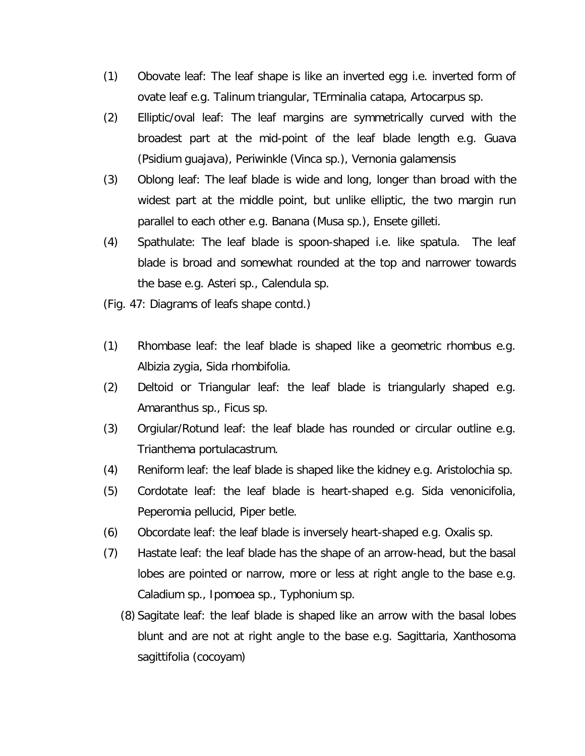- (1) Obovate leaf: The leaf shape is like an inverted egg i.e. inverted form of ovate leaf e.g. *Talinum triangular, TErminalia catapa, Artocarpus sp*.
- (2) Elliptic/oval leaf: The leaf margins are symmetrically curved with the broadest part at the mid-point of the leaf blade length e.g. Guava (*Psidium guajava*), Periwinkle (*Vinca sp*.), *Vernonia galamensis*
- (3) Oblong leaf: The leaf blade is wide and long, longer than broad with the widest part at the middle point, but unlike elliptic, the two margin run parallel to each other e.g. Banana (Musa sp.), *Ensete gilleti.*
- (4) Spathulate: The leaf blade is spoon-shaped i.e. like spatula. The leaf blade is broad and somewhat rounded at the top and narrower towards the base e.g. *Asteri sp., Calendula sp*.
- (Fig. 47: Diagrams of leafs shape contd.)
- (1) Rhombase leaf: the leaf blade is shaped like a geometric rhombus e.g. *Albizia zygia, Sida rhombifolia*.
- (2) Deltoid or Triangular leaf: the leaf blade is triangularly shaped e.g. *Amaranthus sp., Ficus sp*.
- (3) Orgiular/Rotund leaf: the leaf blade has rounded or circular outline e.g. *Trianthema portulacastrum*.
- (4) Reniform leaf: the leaf blade is shaped like the kidney e.g. *Aristolochia sp*.
- *(5)* Cordotate leaf: the leaf blade is heart-shaped e.g. *Sida venonicifolia, Peperomia pellucid, Piper betle.*
- (6) Obcordate leaf: the leaf blade is inversely heart-shaped e.g. Oxalis sp.
- (7) Hastate leaf: the leaf blade has the shape of an arrow-head, but the basal lobes are pointed or narrow, more or less at right angle to the base e.g. *Caladium sp., Ipomoea sp., Typhonium sp*.
	- (8) Sagitate leaf: the leaf blade is shaped like an arrow with the basal lobes blunt and are not at right angle to the base e.g. *Sagittaria, Xanthosoma sagittifolia* (cocoyam)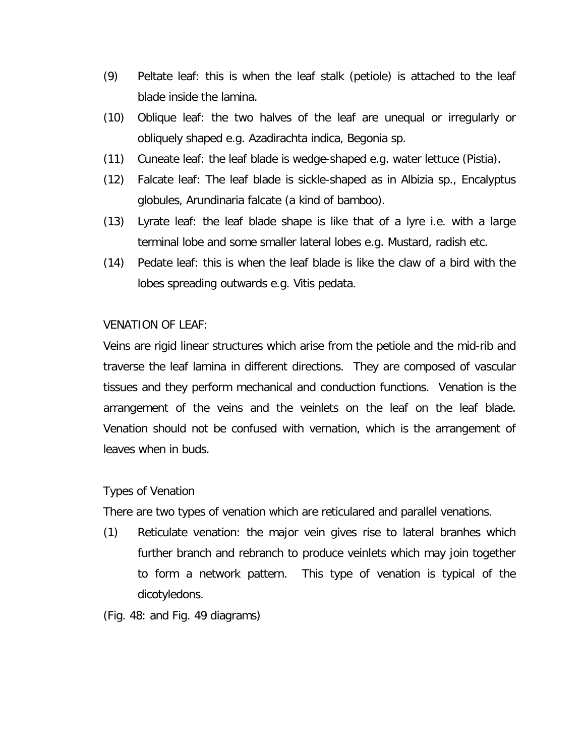- (9) Peltate leaf: this is when the leaf stalk (petiole) is attached to the leaf blade inside the lamina.
- (10) Oblique leaf: the two halves of the leaf are unequal or irregularly or obliquely shaped e.g. *Azadirachta indica, Begonia sp*.
- (11) Cuneate leaf: the leaf blade is wedge-shaped e.g. water lettuce (*Pistia)*.
- (12) Falcate leaf: The leaf blade is sickle-shaped as in *Albizia sp., Encalyptus globules, Arundinaria falcate* (a kind of bamboo).
- (13) Lyrate leaf: the leaf blade shape is like that of a lyre i.e. with a large terminal lobe and some smaller lateral lobes e.g. Mustard, radish etc.
- (14) Pedate leaf: this is when the leaf blade is like the claw of a bird with the lobes spreading outwards e.g. *Vitis pedata*.

# VENATION OF LEAF:

Veins are rigid linear structures which arise from the petiole and the mid-rib and traverse the leaf lamina in different directions. They are composed of vascular tissues and they perform mechanical and conduction functions. Venation is the arrangement of the veins and the veinlets on the leaf on the leaf blade. Venation should not be confused with vernation, which is the arrangement of leaves when in buds.

# Types of Venation

There are two types of venation which are reticulared and parallel venations.

- (1) Reticulate venation: the major vein gives rise to lateral branhes which further branch and rebranch to produce veinlets which may join together to form a network pattern. This type of venation is typical of the dicotyledons.
- (Fig. 48: and Fig. 49 diagrams)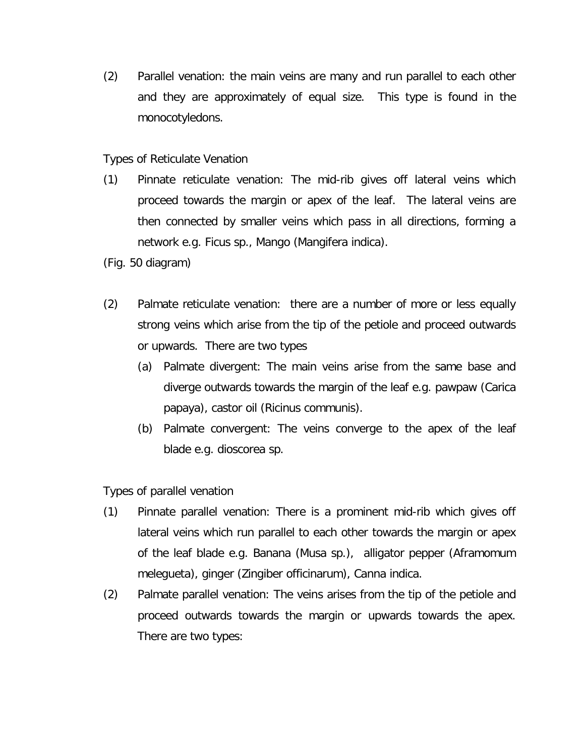(2) Parallel venation: the main veins are many and run parallel to each other and they are approximately of equal size. This type is found in the monocotyledons.

Types of Reticulate Venation

- (1) Pinnate reticulate venation: The mid-rib gives off lateral veins which proceed towards the margin or apex of the leaf. The lateral veins are then connected by smaller veins which pass in all directions, forming a network e.g. *Ficus sp*., Mango (*Mangifera indica*).
- (Fig. 50 diagram)
- (2) Palmate reticulate venation: there are a number of more or less equally strong veins which arise from the tip of the petiole and proceed outwards or upwards. There are two types
	- (a) Palmate divergent: The main veins arise from the same base and diverge outwards towards the margin of the leaf e.g. pawpaw (*Carica papaya*), castor oil (*Ricinus communis*).
	- (b) Palmate convergent: The veins converge to the apex of the leaf blade e.g. *dioscorea sp*.

Types of parallel venation

- (1) Pinnate parallel venation: There is a prominent mid-rib which gives off lateral veins which run parallel to each other towards the margin or apex of the leaf blade e.g. Banana (Musa sp.), alligator pepper (*Aframomum melegueta*), ginger (*Zingiber officinarum*), *Canna indica*.
- (2) Palmate parallel venation: The veins arises from the tip of the petiole and proceed outwards towards the margin or upwards towards the apex. There are two types: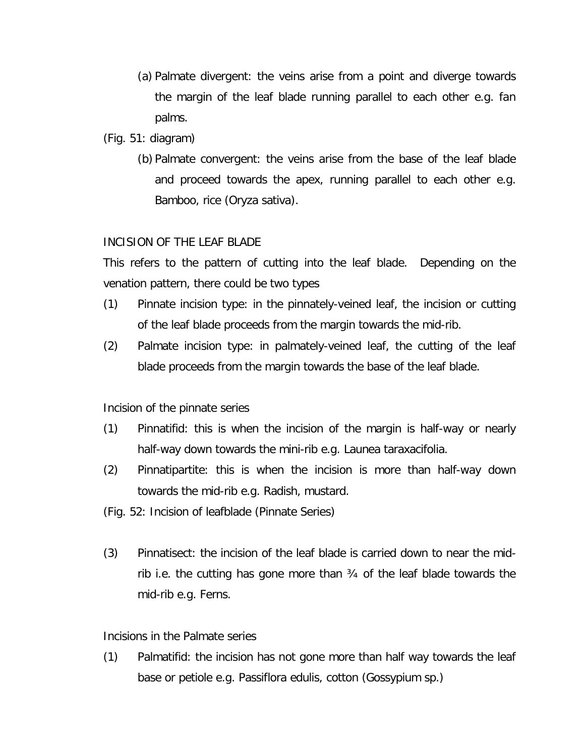- (a) Palmate divergent: the veins arise from a point and diverge towards the margin of the leaf blade running parallel to each other e.g. fan palms.
- (Fig. 51: diagram)
	- (b) Palmate convergent: the veins arise from the base of the leaf blade and proceed towards the apex, running parallel to each other e.g. Bamboo, rice (*Oryza sativa*).

# INCISION OF THE LEAF BLADE

This refers to the pattern of cutting into the leaf blade. Depending on the venation pattern, there could be two types

- (1) Pinnate incision type: in the pinnately-veined leaf, the incision or cutting of the leaf blade proceeds from the margin towards the mid-rib.
- (2) Palmate incision type: in palmately-veined leaf, the cutting of the leaf blade proceeds from the margin towards the base of the leaf blade.

Incision of the pinnate series

- (1) Pinnatifid: this is when the incision of the margin is half-way or nearly half-way down towards the mini-rib e.g. *Launea taraxacifolia*.
- (2) Pinnatipartite: this is when the incision is more than half-way down towards the mid-rib e.g. Radish, mustard.
- (Fig. 52: Incision of leafblade (Pinnate Series)
- (3) Pinnatisect: the incision of the leaf blade is carried down to near the midrib i.e. the cutting has gone more than  $\frac{3}{4}$  of the leaf blade towards the mid-rib e.g. Ferns.

# Incisions in the Palmate series

(1) Palmatifid: the incision has not gone more than half way towards the leaf base or petiole e.g. *Passiflora edulis*, cotton (*Gossypium sp*.)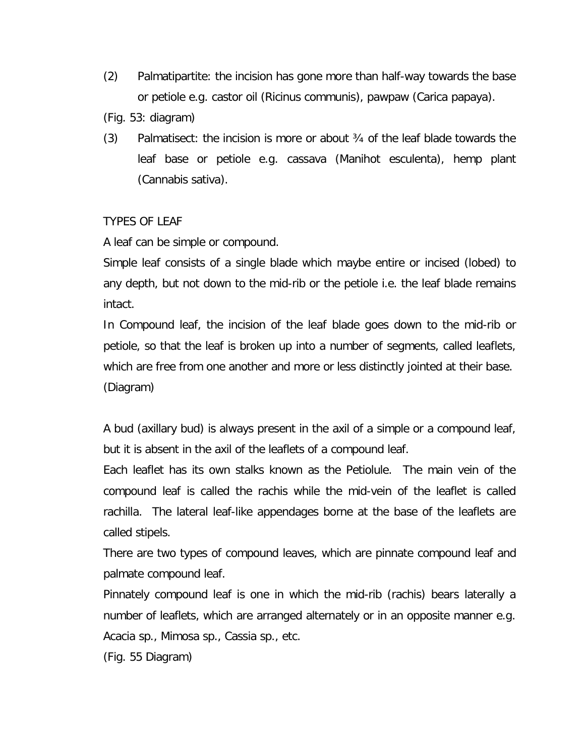- (2) Palmatipartite: the incision has gone more than half-way towards the base or petiole e.g. castor oil (*Ricinus communis*), pawpaw (*Carica papaya*).
- (Fig. 53: diagram)
- (3) Palmatisect: the incision is more or about ¾ of the leaf blade towards the leaf base or petiole e.g. cassava (*Manihot esculenta*), hemp plant (*Cannabis sativa*).

# TYPES OF LEAF

A leaf can be simple or compound.

Simple leaf consists of a single blade which maybe entire or incised (lobed) to any depth, but not down to the mid-rib or the petiole i.e. the leaf blade remains intact.

In Compound leaf, the incision of the leaf blade goes down to the mid-rib or petiole, so that the leaf is broken up into a number of segments, called leaflets, which are free from one another and more or less distinctly jointed at their base. (Diagram)

A bud (axillary bud) is always present in the axil of a simple or a compound leaf, but it is absent in the axil of the leaflets of a compound leaf.

Each leaflet has its own stalks known as the Petiolule. The main vein of the compound leaf is called the rachis while the mid-vein of the leaflet is called rachilla. The lateral leaf-like appendages borne at the base of the leaflets are called stipels.

There are two types of compound leaves, which are pinnate compound leaf and palmate compound leaf.

Pinnately compound leaf is one in which the mid-rib (rachis) bears laterally a number of leaflets, which are arranged alternately or in an opposite manner e.g. *Acacia sp., Mimosa sp., Cassia sp*., etc.

(Fig. 55 Diagram)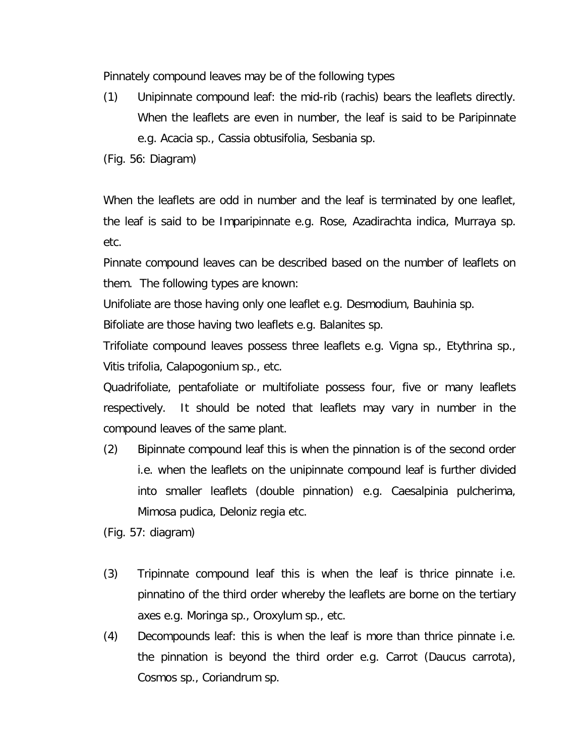Pinnately compound leaves may be of the following types

(1) Unipinnate compound leaf: the mid-rib (rachis) bears the leaflets directly. When the leaflets are even in number, the leaf is said to be Paripinnate e.g. *Acacia sp., Cassia obtusifolia, Sesbania sp*.

(Fig. 56: Diagram)

When the leaflets are odd in number and the leaf is terminated by one leaflet, the leaf is said to be Imparipinnate e.g. Rose, *Azadirachta indica, Murraya sp*. etc.

Pinnate compound leaves can be described based on the number of leaflets on them. The following types are known:

Unifoliate are those having only one leaflet e.g. *Desmodium, Bauhinia sp.*

Bifoliate are those having two leaflets e.g. *Balanites sp*.

Trifoliate compound leaves possess three leaflets e.g. *Vigna sp., Etythrina sp., Vitis trifolia, Calapogonium sp.*, etc.

Quadrifoliate, pentafoliate or multifoliate possess four, five or many leaflets respectively. It should be noted that leaflets may vary in number in the compound leaves of the same plant.

(2) Bipinnate compound leaf this is when the pinnation is of the second order i.e. when the leaflets on the unipinnate compound leaf is further divided into smaller leaflets (double pinnation) e.g. *Caesalpinia pulcherima, Mimosa pudica, Deloniz regia* etc.

(Fig. 57: diagram)

- (3) Tripinnate compound leaf this is when the leaf is thrice pinnate i.e. pinnatino of the third order whereby the leaflets are borne on the tertiary axes e.g. *Moringa sp., Oroxylum sp*., etc.
- (4) Decompounds leaf: this is when the leaf is more than thrice pinnate i.e. the pinnation is beyond the third order e.g. Carrot (*Daucus carrota*), *Cosmos sp., Coriandrum sp*.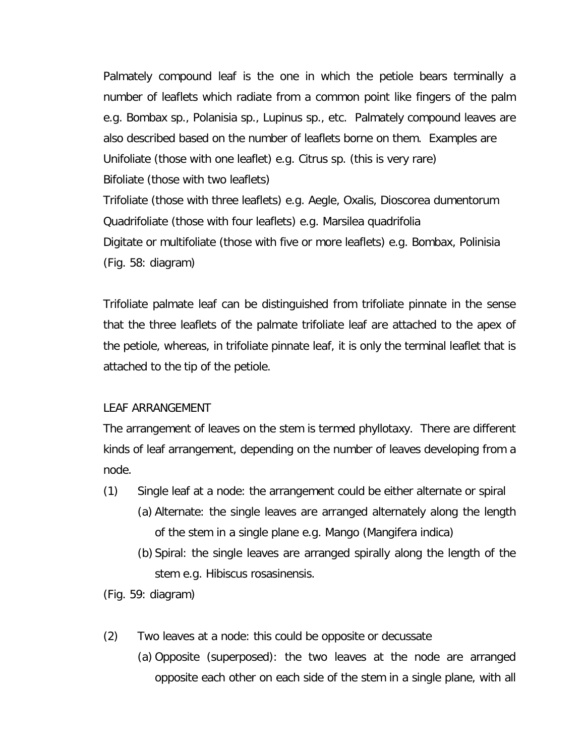Palmately compound leaf is the one in which the petiole bears terminally a number of leaflets which radiate from a common point like fingers of the palm e.g. *Bombax sp., Polanisia sp., Lupinus sp*., etc. Palmately compound leaves are also described based on the number of leaflets borne on them. Examples are Unifoliate (those with one leaflet) e.g. Citrus sp. (this is very rare) Bifoliate (those with two leaflets) Trifoliate (those with three leaflets) e.g. *Aegle, Oxalis, Dioscorea dumentorum* Quadrifoliate (those with four leaflets) e.g. *Marsilea quadrifolia* Digitate or multifoliate (those with five or more leaflets) e.g. *Bombax, Polinisia* (Fig. 58: diagram)

Trifoliate palmate leaf can be distinguished from trifoliate pinnate in the sense that the three leaflets of the palmate trifoliate leaf are attached to the apex of the petiole, whereas, in trifoliate pinnate leaf, it is only the terminal leaflet that is attached to the tip of the petiole.

#### LEAF ARRANGEMENT

The arrangement of leaves on the stem is termed phyllotaxy. There are different kinds of leaf arrangement, depending on the number of leaves developing from a node.

- (1) Single leaf at a node: the arrangement could be either alternate or spiral (a) Alternate: the single leaves are arranged alternately along the length of the stem in a single plane e.g. Mango (*Mangifera indica*)
	- (b) Spiral: the single leaves are arranged spirally along the length of the stem e.g. *Hibiscus rosasinensis.*

(Fig. 59: diagram)

- (2) Two leaves at a node: this could be opposite or decussate
	- (a) Opposite (superposed): the two leaves at the node are arranged opposite each other on each side of the stem in a single plane, with all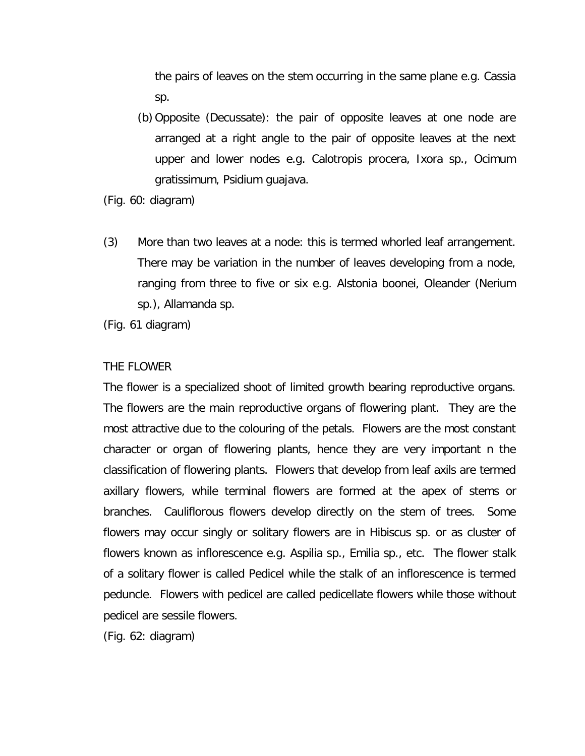the pairs of leaves on the stem occurring in the same plane e.g. Cassia sp.

(b) Opposite (Decussate): the pair of opposite leaves at one node are arranged at a right angle to the pair of opposite leaves at the next upper and lower nodes e.g. *Calotropis procera, Ixora sp., Ocimum gratissimum, Psidium guajava*.

(Fig. 60: diagram)

*(3)* More than two leaves at a node: this is termed whorled leaf arrangement. There may be variation in the number of leaves developing from a node, ranging from three to five or six e.g. *Alstonia boonei, Oleander (Nerium sp.), Allamanda sp.*

(Fig. 61 diagram)

### THE FLOWER

The flower is a specialized shoot of limited growth bearing reproductive organs. The flowers are the main reproductive organs of flowering plant. They are the most attractive due to the colouring of the petals. Flowers are the most constant character or organ of flowering plants, hence they are very important n the classification of flowering plants. Flowers that develop from leaf axils are termed axillary flowers, while terminal flowers are formed at the apex of stems or branches. Cauliflorous flowers develop directly on the stem of trees. Some flowers may occur singly or solitary flowers are in Hibiscus sp. or as cluster of flowers known as inflorescence e.g. *Aspilia sp., Emilia sp*., etc. The flower stalk of a solitary flower is called Pedicel while the stalk of an inflorescence is termed peduncle. Flowers with pedicel are called pedicellate flowers while those without pedicel are sessile flowers.

(Fig. 62: diagram)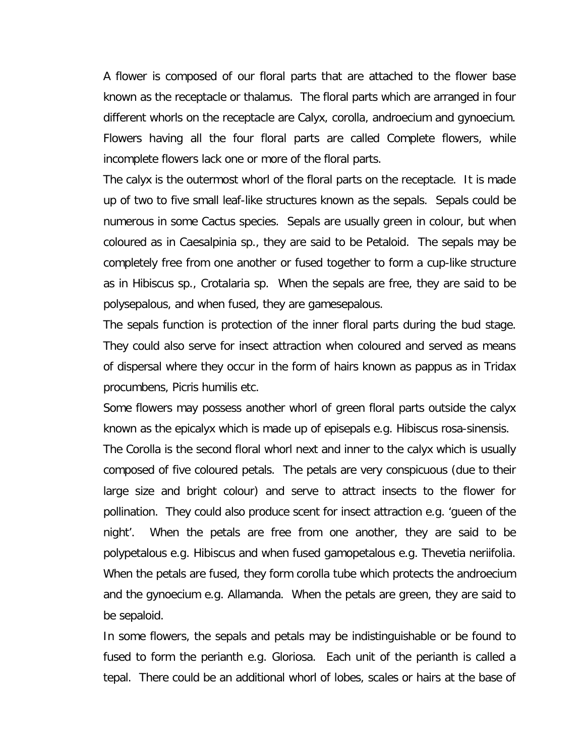A flower is composed of our floral parts that are attached to the flower base known as the receptacle or thalamus. The floral parts which are arranged in four different whorls on the receptacle are Calyx, corolla, androecium and gynoecium. Flowers having all the four floral parts are called Complete flowers, while incomplete flowers lack one or more of the floral parts.

The calyx is the outermost whorl of the floral parts on the receptacle. It is made up of two to five small leaf-like structures known as the sepals. Sepals could be numerous in some Cactus species. Sepals are usually green in colour, but when coloured as in *Caesalpinia sp*., they are said to be Petaloid. The sepals may be completely free from one another or fused together to form a cup-like structure as in Hibiscus sp., Crotalaria sp. When the sepals are free, they are said to be polysepalous, and when fused, they are gamesepalous.

The sepals function is protection of the inner floral parts during the bud stage. They could also serve for insect attraction when coloured and served as means of dispersal where they occur in the form of hairs known as pappus as in *Tridax procumbens, Picris humilis* etc.

Some flowers may possess another whorl of green floral parts outside the calyx known as the epicalyx which is made up of episepals e.g. *Hibiscus rosa-sinensis*. The Corolla is the second floral whorl next and inner to the calyx which is usually composed of five coloured petals. The petals are very conspicuous (due to their large size and bright colour) and serve to attract insects to the flower for pollination. They could also produce scent for insect attraction e.g. 'gueen of the night'. When the petals are free from one another, they are said to be polypetalous e.g. Hibiscus and when fused gamopetalous e.g. *Thevetia neriifolia*. When the petals are fused, they form corolla tube which protects the androecium and the gynoecium e.g. *Allamanda*. When the petals are green, they are said to be sepaloid.

In some flowers, the sepals and petals may be indistinguishable or be found to fused to form the perianth e.g. *Gloriosa*. Each unit of the perianth is called a tepal. There could be an additional whorl of lobes, scales or hairs at the base of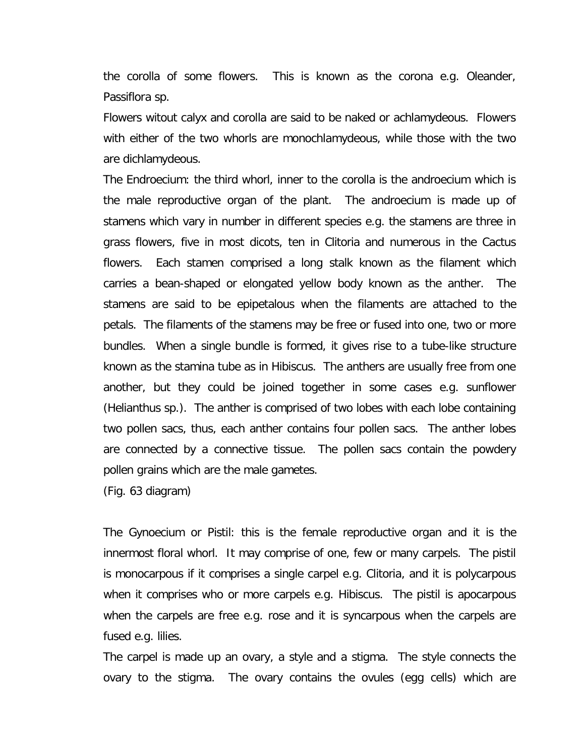the corolla of some flowers. This is known as the corona e.g. Oleander, *Passiflora sp*.

Flowers witout calyx and corolla are said to be naked or achlamydeous. Flowers with either of the two whorls are monochlamydeous, while those with the two are dichlamydeous.

The Endroecium: the third whorl, inner to the corolla is the androecium which is the male reproductive organ of the plant. The androecium is made up of stamens which vary in number in different species e.g. the stamens are three in grass flowers, five in most dicots, ten in Clitoria and numerous in the Cactus flowers. Each stamen comprised a long stalk known as the filament which carries a bean-shaped or elongated yellow body known as the anther. The stamens are said to be epipetalous when the filaments are attached to the petals. The filaments of the stamens may be free or fused into one, two or more bundles. When a single bundle is formed, it gives rise to a tube-like structure known as the stamina tube as in Hibiscus. The anthers are usually free from one another, but they could be joined together in some cases e.g. sunflower (Helianthus sp.). The anther is comprised of two lobes with each lobe containing two pollen sacs, thus, each anther contains four pollen sacs. The anther lobes are connected by a connective tissue. The pollen sacs contain the powdery pollen grains which are the male gametes.

(Fig. 63 diagram)

The Gynoecium or Pistil: this is the female reproductive organ and it is the innermost floral whorl. It may comprise of one, few or many carpels. The pistil is monocarpous if it comprises a single carpel e.g. Clitoria, and it is polycarpous when it comprises who or more carpels e.g. Hibiscus. The pistil is apocarpous when the carpels are free e.g. rose and it is syncarpous when the carpels are fused e.g. lilies.

The carpel is made up an ovary, a style and a stigma. The style connects the ovary to the stigma. The ovary contains the ovules (egg cells) which are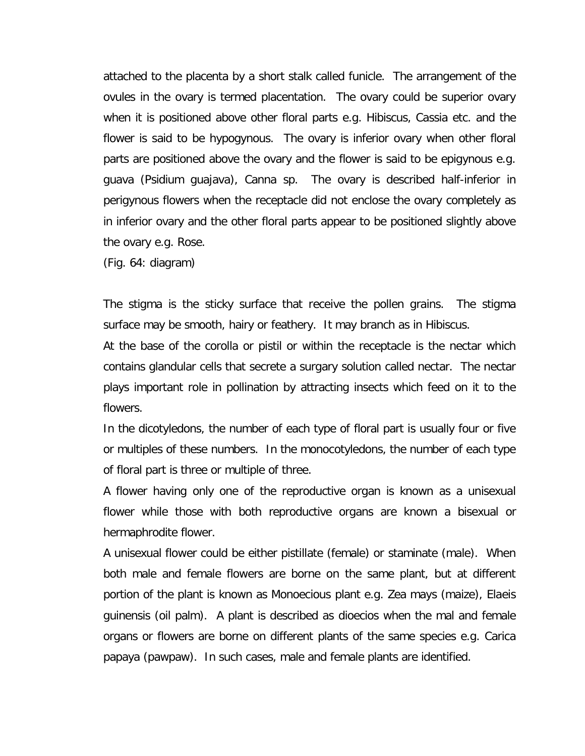attached to the placenta by a short stalk called funicle. The arrangement of the ovules in the ovary is termed placentation. The ovary could be superior ovary when it is positioned above other floral parts e.g. Hibiscus, Cassia etc. and the flower is said to be hypogynous. The ovary is inferior ovary when other floral parts are positioned above the ovary and the flower is said to be epigynous e.g. guava (*Psidium guajava*), *Canna sp*. The ovary is described half-inferior in perigynous flowers when the receptacle did not enclose the ovary completely as in inferior ovary and the other floral parts appear to be positioned slightly above the ovary e.g. Rose.

(Fig. 64: diagram)

The stigma is the sticky surface that receive the pollen grains. The stigma surface may be smooth, hairy or feathery. It may branch as in Hibiscus.

At the base of the corolla or pistil or within the receptacle is the nectar which contains glandular cells that secrete a surgary solution called nectar. The nectar plays important role in pollination by attracting insects which feed on it to the flowers.

In the dicotyledons, the number of each type of floral part is usually four or five or multiples of these numbers. In the monocotyledons, the number of each type of floral part is three or multiple of three.

A flower having only one of the reproductive organ is known as a unisexual flower while those with both reproductive organs are known a bisexual or hermaphrodite flower.

A unisexual flower could be either pistillate (female) or staminate (male). When both male and female flowers are borne on the same plant, but at different portion of the plant is known as Monoecious plant e.g. *Zea mays* (maize), *Elaeis guinensis* (oil palm). A plant is described as dioecios when the mal and female organs or flowers are borne on different plants of the same species e.g. *Carica papaya* (pawpaw). In such cases, male and female plants are identified.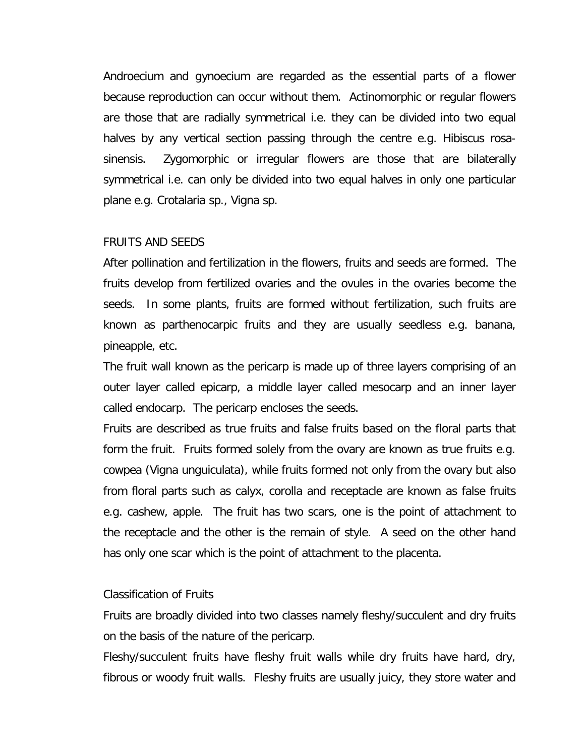Androecium and gynoecium are regarded as the essential parts of a flower because reproduction can occur without them. Actinomorphic or regular flowers are those that are radially symmetrical i.e. they can be divided into two equal halves by any vertical section passing through the centre e.g. *Hibiscus rosasinensis*. Zygomorphic or irregular flowers are those that are bilaterally symmetrical i.e. can only be divided into two equal halves in only one particular plane e.g. *Crotalaria sp., Vigna sp*.

#### FRUITS AND SEEDS

After pollination and fertilization in the flowers, fruits and seeds are formed. The fruits develop from fertilized ovaries and the ovules in the ovaries become the seeds. In some plants, fruits are formed without fertilization, such fruits are known as parthenocarpic fruits and they are usually seedless e.g. banana, pineapple, etc.

The fruit wall known as the pericarp is made up of three layers comprising of an outer layer called epicarp, a middle layer called mesocarp and an inner layer called endocarp. The pericarp encloses the seeds.

Fruits are described as true fruits and false fruits based on the floral parts that form the fruit. Fruits formed solely from the ovary are known as true fruits e.g. cowpea (*Vigna unguiculata*), while fruits formed not only from the ovary but also from floral parts such as calyx, corolla and receptacle are known as false fruits e.g. cashew, apple. The fruit has two scars, one is the point of attachment to the receptacle and the other is the remain of style. A seed on the other hand has only one scar which is the point of attachment to the placenta.

#### Classification of Fruits

Fruits are broadly divided into two classes namely fleshy/succulent and dry fruits on the basis of the nature of the pericarp.

Fleshy/succulent fruits have fleshy fruit walls while dry fruits have hard, dry, fibrous or woody fruit walls. Fleshy fruits are usually juicy, they store water and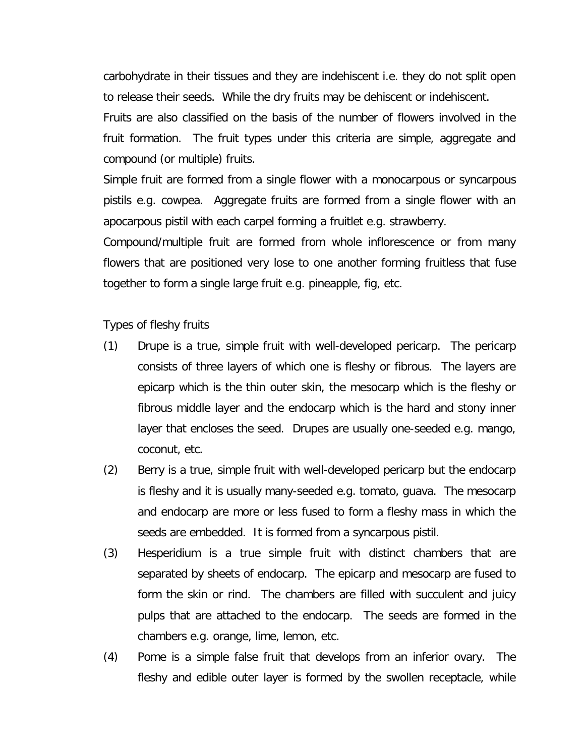carbohydrate in their tissues and they are indehiscent i.e. they do not split open to release their seeds. While the dry fruits may be dehiscent or indehiscent. Fruits are also classified on the basis of the number of flowers involved in the fruit formation. The fruit types under this criteria are simple, aggregate and compound (or multiple) fruits.

Simple fruit are formed from a single flower with a monocarpous or syncarpous pistils e.g. cowpea. Aggregate fruits are formed from a single flower with an apocarpous pistil with each carpel forming a fruitlet e.g. strawberry.

Compound/multiple fruit are formed from whole inflorescence or from many flowers that are positioned very lose to one another forming fruitless that fuse together to form a single large fruit e.g. pineapple, fig, etc.

Types of fleshy fruits

- (1) Drupe is a true, simple fruit with well-developed pericarp. The pericarp consists of three layers of which one is fleshy or fibrous. The layers are epicarp which is the thin outer skin, the mesocarp which is the fleshy or fibrous middle layer and the endocarp which is the hard and stony inner layer that encloses the seed. Drupes are usually one-seeded e.g. mango, coconut, etc.
- (2) Berry is a true, simple fruit with well-developed pericarp but the endocarp is fleshy and it is usually many-seeded e.g. tomato, guava. The mesocarp and endocarp are more or less fused to form a fleshy mass in which the seeds are embedded. It is formed from a syncarpous pistil.
- (3) Hesperidium is a true simple fruit with distinct chambers that are separated by sheets of endocarp. The epicarp and mesocarp are fused to form the skin or rind. The chambers are filled with succulent and juicy pulps that are attached to the endocarp. The seeds are formed in the chambers e.g. orange, lime, lemon, etc.
- (4) Pome is a simple false fruit that develops from an inferior ovary. The fleshy and edible outer layer is formed by the swollen receptacle, while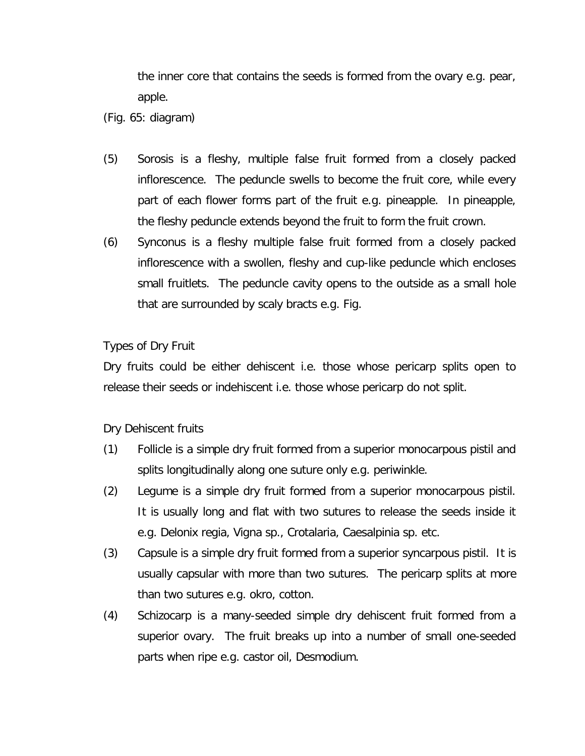the inner core that contains the seeds is formed from the ovary e.g. pear, apple.

(Fig. 65: diagram)

- (5) Sorosis is a fleshy, multiple false fruit formed from a closely packed inflorescence. The peduncle swells to become the fruit core, while every part of each flower forms part of the fruit e.g. pineapple. In pineapple, the fleshy peduncle extends beyond the fruit to form the fruit crown.
- (6) Synconus is a fleshy multiple false fruit formed from a closely packed inflorescence with a swollen, fleshy and cup-like peduncle which encloses small fruitlets. The peduncle cavity opens to the outside as a small hole that are surrounded by scaly bracts e.g. Fig.

# Types of Dry Fruit

Dry fruits could be either dehiscent i.e. those whose pericarp splits open to release their seeds or indehiscent i.e. those whose pericarp do not split.

Dry Dehiscent fruits

- (1) Follicle is a simple dry fruit formed from a superior monocarpous pistil and splits longitudinally along one suture only e.g. periwinkle.
- (2) Legume is a simple dry fruit formed from a superior monocarpous pistil. It is usually long and flat with two sutures to release the seeds inside it e.g. *Delonix regia, Vigna sp., Crotalaria, Caesalpinia sp*. etc.
- (3) Capsule is a simple dry fruit formed from a superior syncarpous pistil. It is usually capsular with more than two sutures. The pericarp splits at more than two sutures e.g. okro, cotton.
- (4) Schizocarp is a many-seeded simple dry dehiscent fruit formed from a superior ovary. The fruit breaks up into a number of small one-seeded parts when ripe e.g. castor oil, Desmodium.